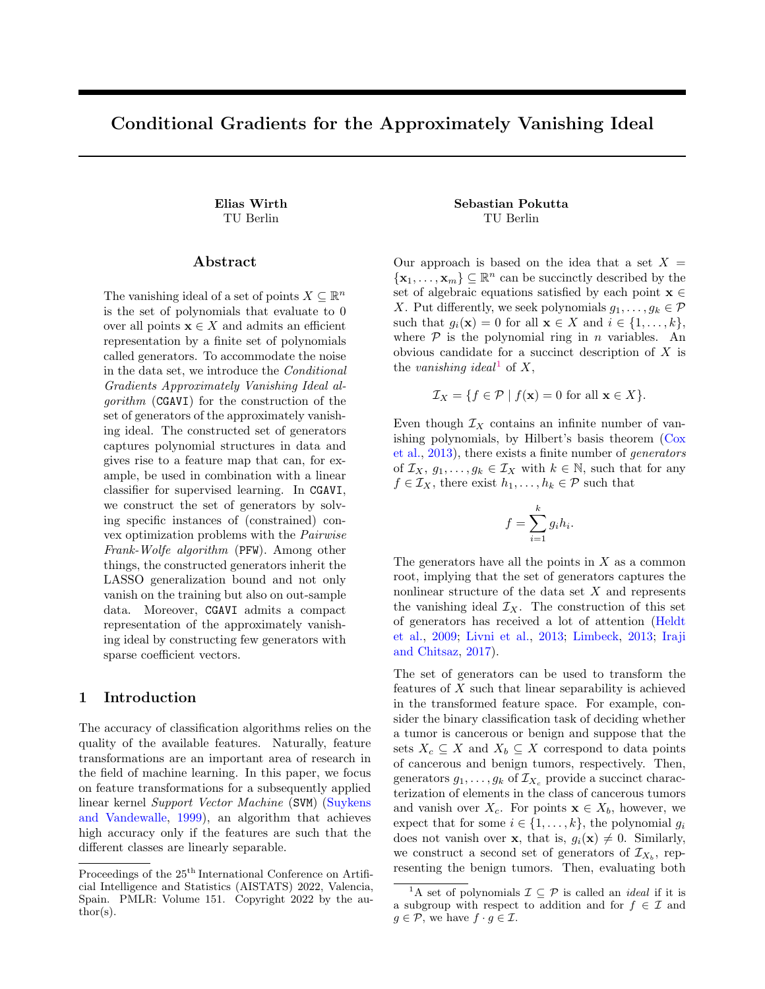# Conditional Gradients for the Approximately Vanishing Ideal

### Abstract

The vanishing ideal of a set of points  $X \subseteq \mathbb{R}^n$ is the set of polynomials that evaluate to 0 over all points  $\mathbf{x} \in X$  and admits an efficient representation by a finite set of polynomials called generators. To accommodate the noise in the data set, we introduce the Conditional Gradients Approximately Vanishing Ideal algorithm (CGAVI) for the construction of the set of generators of the approximately vanishing ideal. The constructed set of generators captures polynomial structures in data and gives rise to a feature map that can, for example, be used in combination with a linear classifier for supervised learning. In CGAVI, we construct the set of generators by solving specific instances of (constrained) convex optimization problems with the Pairwise Frank-Wolfe algorithm (PFW). Among other things, the constructed generators inherit the LASSO generalization bound and not only vanish on the training but also on out-sample data. Moreover, CGAVI admits a compact representation of the approximately vanishing ideal by constructing few generators with sparse coefficient vectors.

# 1 Introduction

The accuracy of classification algorithms relies on the quality of the available features. Naturally, feature transformations are an important area of research in the field of machine learning. In this paper, we focus on feature transformations for a subsequently applied linear kernel Support Vector Machine (SVM) [\(Suykens](#page-10-0) [and Vandewalle,](#page-10-0) [1999\)](#page-10-0), an algorithm that achieves high accuracy only if the features are such that the different classes are linearly separable.

# Elias Wirth Sebastian Pokutta TU Berlin TU Berlin

Our approach is based on the idea that a set  $X =$  $\{\mathbf x_1, \ldots, \mathbf x_m\} \subseteq \mathbb{R}^n$  can be succinctly described by the set of algebraic equations satisfied by each point  $\mathbf{x} \in \mathbb{R}$ X. Put differently, we seek polynomials  $g_1, \ldots, g_k \in \mathcal{P}$ such that  $g_i(\mathbf{x}) = 0$  for all  $\mathbf{x} \in X$  and  $i \in \{1, ..., k\},\$ where  $P$  is the polynomial ring in *n* variables. An obvious candidate for a succinct description of X is the vanishing ideal<sup>[1](#page-0-0)</sup> of X,

$$
\mathcal{I}_X = \{ f \in \mathcal{P} \mid f(\mathbf{x}) = 0 \text{ for all } \mathbf{x} \in X \}.
$$

Even though  $\mathcal{I}_X$  contains an infinite number of vanishing polynomials, by Hilbert's basis theorem [\(Cox](#page-9-0) [et al.,](#page-9-0) [2013\)](#page-9-0), there exists a finite number of generators of  $\mathcal{I}_X, g_1, \ldots, g_k \in \mathcal{I}_X$  with  $k \in \mathbb{N}$ , such that for any  $f \in \mathcal{I}_X$ , there exist  $h_1, \ldots, h_k \in \mathcal{P}$  such that

$$
f = \sum_{i=1}^{k} g_i h_i.
$$

The generators have all the points in  $X$  as a common root, implying that the set of generators captures the nonlinear structure of the data set  $X$  and represents the vanishing ideal  $\mathcal{I}_X$ . The construction of this set of generators has received a lot of attention [\(Heldt](#page-9-1) [et al.,](#page-9-1) [2009;](#page-9-1) [Livni et al.,](#page-10-1) [2013;](#page-10-1) [Limbeck,](#page-10-2) [2013;](#page-10-2) [Iraji](#page-9-2) [and Chitsaz,](#page-9-2) [2017\)](#page-9-2).

The set of generators can be used to transform the features of X such that linear separability is achieved in the transformed feature space. For example, consider the binary classification task of deciding whether a tumor is cancerous or benign and suppose that the sets  $X_c \subseteq X$  and  $X_b \subseteq X$  correspond to data points of cancerous and benign tumors, respectively. Then, generators  $g_1, \ldots, g_k$  of  $\mathcal{I}_{X_c}$  provide a succinct characterization of elements in the class of cancerous tumors and vanish over  $X_c$ . For points  $\mathbf{x} \in X_b$ , however, we expect that for some  $i \in \{1, ..., k\}$ , the polynomial  $g_i$ does not vanish over **x**, that is,  $g_i(\mathbf{x}) \neq 0$ . Similarly, we construct a second set of generators of  $\mathcal{I}_{X_b}$ , representing the benign tumors. Then, evaluating both

Proceedings of the  $25^{\mathrm{th}}$  International Conference on Artificial Intelligence and Statistics (AISTATS) 2022, Valencia, Spain. PMLR: Volume 151. Copyright 2022 by the au- $\text{thor}(s)$ .

<span id="page-0-0"></span><sup>&</sup>lt;sup>1</sup>A set of polynomials  $\mathcal{I} \subseteq \mathcal{P}$  is called an *ideal* if it is a subgroup with respect to addition and for  $f \in \mathcal{I}$  and  $g \in \mathcal{P}$ , we have  $f \cdot g \in \mathcal{I}$ .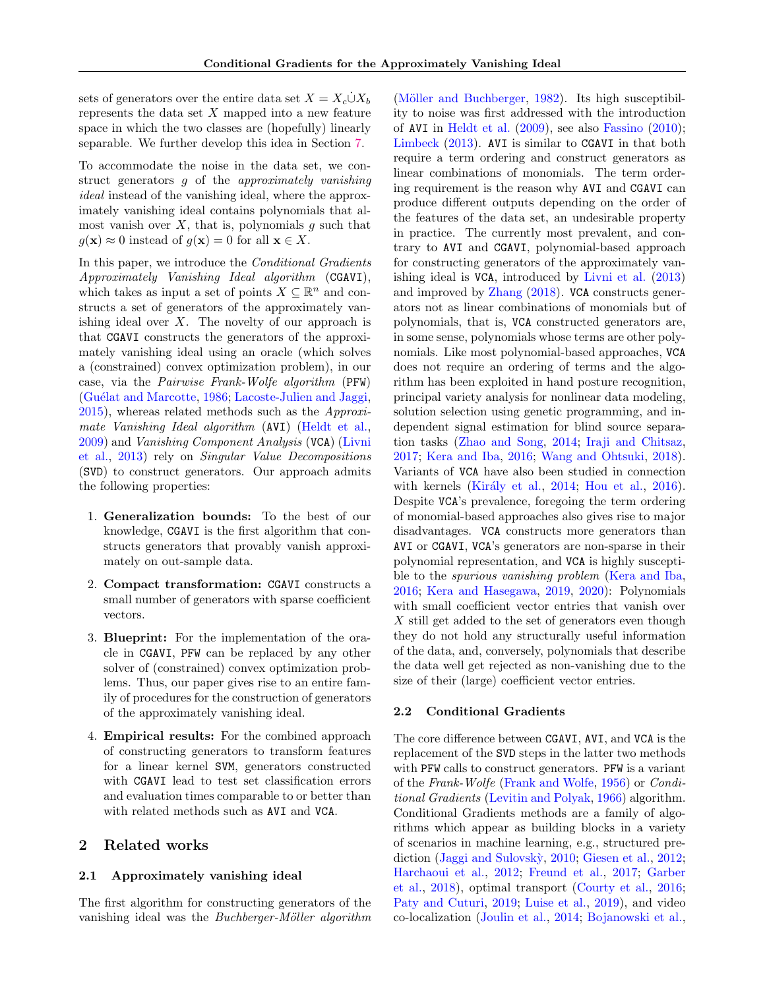sets of generators over the entire data set  $X = X_c \dot{\cup} X_b$ represents the data set  $X$  mapped into a new feature space in which the two classes are (hopefully) linearly separable. We further develop this idea in Section [7.](#page-6-0)

To accommodate the noise in the data set, we construct generators g of the approximately vanishing ideal instead of the vanishing ideal, where the approximately vanishing ideal contains polynomials that almost vanish over  $X$ , that is, polynomials  $g$  such that  $g(\mathbf{x}) \approx 0$  instead of  $g(\mathbf{x}) = 0$  for all  $\mathbf{x} \in X$ .

In this paper, we introduce the Conditional Gradients Approximately Vanishing Ideal algorithm (CGAVI), which takes as input a set of points  $X \subseteq \mathbb{R}^n$  and constructs a set of generators of the approximately vanishing ideal over  $X$ . The novelty of our approach is that CGAVI constructs the generators of the approximately vanishing ideal using an oracle (which solves a (constrained) convex optimization problem), in our case, via the Pairwise Frank-Wolfe algorithm (PFW) (Guélat and Marcotte, [1986;](#page-9-3) [Lacoste-Julien and Jaggi,](#page-10-3) [2015\)](#page-10-3), whereas related methods such as the Approxi-mate Vanishing Ideal algorithm (AVI) [\(Heldt et al.,](#page-9-1) [2009\)](#page-9-1) and Vanishing Component Analysis (VCA) [\(Livni](#page-10-1) [et al.,](#page-10-1) [2013\)](#page-10-1) rely on Singular Value Decompositions (SVD) to construct generators. Our approach admits the following properties:

- 1. Generalization bounds: To the best of our knowledge, CGAVI is the first algorithm that constructs generators that provably vanish approximately on out-sample data.
- 2. Compact transformation: CGAVI constructs a small number of generators with sparse coefficient vectors.
- 3. Blueprint: For the implementation of the oracle in CGAVI, PFW can be replaced by any other solver of (constrained) convex optimization problems. Thus, our paper gives rise to an entire family of procedures for the construction of generators of the approximately vanishing ideal.
- 4. Empirical results: For the combined approach of constructing generators to transform features for a linear kernel SVM, generators constructed with CGAVI lead to test set classification errors and evaluation times comparable to or better than with related methods such as AVI and VCA.

# 2 Related works

### 2.1 Approximately vanishing ideal

The first algorithm for constructing generators of the vanishing ideal was the *Buchberger-Möller algorithm*  (Möller and Buchberger,  $1982$ ). Its high susceptibility to noise was first addressed with the introduction of AVI in [Heldt et al.](#page-9-1) [\(2009\)](#page-9-1), see also [Fassino](#page-9-4) [\(2010\)](#page-9-4); [Limbeck](#page-10-2) [\(2013\)](#page-10-2). AVI is similar to CGAVI in that both require a term ordering and construct generators as linear combinations of monomials. The term ordering requirement is the reason why AVI and CGAVI can produce different outputs depending on the order of the features of the data set, an undesirable property in practice. The currently most prevalent, and contrary to AVI and CGAVI, polynomial-based approach for constructing generators of the approximately vanishing ideal is VCA, introduced by [Livni et al.](#page-10-1) [\(2013\)](#page-10-1) and improved by [Zhang](#page-11-0) [\(2018\)](#page-11-0). VCA constructs generators not as linear combinations of monomials but of polynomials, that is, VCA constructed generators are, in some sense, polynomials whose terms are other polynomials. Like most polynomial-based approaches, VCA does not require an ordering of terms and the algorithm has been exploited in hand posture recognition, principal variety analysis for nonlinear data modeling, solution selection using genetic programming, and independent signal estimation for blind source separation tasks [\(Zhao and Song,](#page-11-1) [2014;](#page-11-1) [Iraji and Chitsaz,](#page-9-2) [2017;](#page-9-2) [Kera and Iba,](#page-10-5) [2016;](#page-10-5) [Wang and Ohtsuki,](#page-10-6) [2018\)](#page-10-6). Variants of VCA have also been studied in connection with kernels (Király et al., [2014;](#page-10-7) [Hou et al.,](#page-9-5) [2016\)](#page-9-5). Despite VCA's prevalence, foregoing the term ordering of monomial-based approaches also gives rise to major disadvantages. VCA constructs more generators than AVI or CGAVI, VCA's generators are non-sparse in their polynomial representation, and VCA is highly susceptible to the spurious vanishing problem [\(Kera and Iba,](#page-10-5) [2016;](#page-10-5) [Kera and Hasegawa,](#page-10-8) [2019,](#page-10-8) [2020\)](#page-10-9): Polynomials with small coefficient vector entries that vanish over X still get added to the set of generators even though they do not hold any structurally useful information of the data, and, conversely, polynomials that describe the data well get rejected as non-vanishing due to the size of their (large) coefficient vector entries.

### 2.2 Conditional Gradients

The core difference between CGAVI, AVI, and VCA is the replacement of the SVD steps in the latter two methods with PFW calls to construct generators. PFW is a variant of the Frank-Wolfe [\(Frank and Wolfe,](#page-9-6) [1956\)](#page-9-6) or Conditional Gradients [\(Levitin and Polyak,](#page-10-10) [1966\)](#page-10-10) algorithm. Conditional Gradients methods are a family of algorithms which appear as building blocks in a variety of scenarios in machine learning, e.g., structured pre-diction (Jaggi and Sulovskỳ, [2010;](#page-10-11) [Giesen et al.,](#page-9-7) [2012;](#page-9-7) [Harchaoui et al.,](#page-9-8) [2012;](#page-9-8) [Freund et al.,](#page-9-9) [2017;](#page-9-9) [Garber](#page-9-10) [et al.,](#page-9-10) [2018\)](#page-9-10), optimal transport [\(Courty et al.,](#page-9-11) [2016;](#page-9-11) [Paty and Cuturi,](#page-10-12) [2019;](#page-10-12) [Luise et al.,](#page-10-13) [2019\)](#page-10-13), and video co-localization [\(Joulin et al.,](#page-10-14) [2014;](#page-10-14) [Bojanowski et al.,](#page-9-12)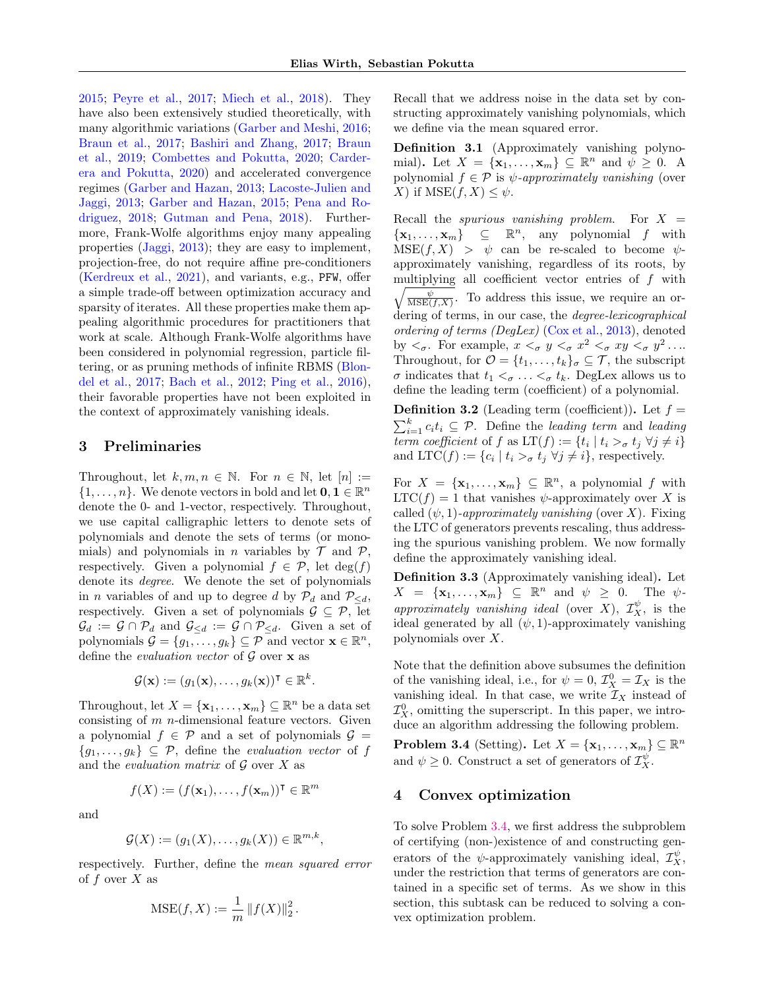[2015;](#page-9-12) [Peyre et al.,](#page-10-15) [2017;](#page-10-15) [Miech et al.,](#page-10-16) [2018\)](#page-10-16). They have also been extensively studied theoretically, with many algorithmic variations [\(Garber and Meshi,](#page-9-13) [2016;](#page-9-13) [Braun et al.,](#page-9-14) [2017;](#page-9-14) [Bashiri and Zhang,](#page-9-15) [2017;](#page-9-15) [Braun](#page-9-16) [et al.,](#page-9-16) [2019;](#page-9-16) [Combettes and Pokutta,](#page-9-17) [2020;](#page-9-17) [Carder](#page-9-18)[era and Pokutta,](#page-9-18) [2020\)](#page-9-18) and accelerated convergence regimes [\(Garber and Hazan,](#page-9-19) [2013;](#page-9-19) [Lacoste-Julien and](#page-10-17) [Jaggi,](#page-10-17) [2013;](#page-10-17) [Garber and Hazan,](#page-9-20) [2015;](#page-9-20) [Pena and Ro](#page-10-18)[driguez,](#page-10-18) [2018;](#page-10-18) [Gutman and Pena,](#page-9-21) [2018\)](#page-9-21). Furthermore, Frank-Wolfe algorithms enjoy many appealing properties [\(Jaggi,](#page-9-22) [2013\)](#page-9-22); they are easy to implement, projection-free, do not require affine pre-conditioners [\(Kerdreux et al.,](#page-10-19) [2021\)](#page-10-19), and variants, e.g., PFW, offer a simple trade-off between optimization accuracy and sparsity of iterates. All these properties make them appealing algorithmic procedures for practitioners that work at scale. Although Frank-Wolfe algorithms have been considered in polynomial regression, particle filtering, or as pruning methods of infinite RBMS [\(Blon](#page-9-23)[del et al.,](#page-9-23) [2017;](#page-9-23) [Bach et al.,](#page-9-24) [2012;](#page-9-24) [Ping et al.,](#page-10-20) [2016\)](#page-10-20), their favorable properties have not been exploited in the context of approximately vanishing ideals.

# 3 Preliminaries

Throughout, let  $k, m, n \in \mathbb{N}$ . For  $n \in \mathbb{N}$ , let  $[n] :=$  $\{1,\ldots,n\}$ . We denote vectors in bold and let  $\mathbf{0}, \mathbf{1} \in \mathbb{R}^n$ denote the 0- and 1-vector, respectively. Throughout, we use capital calligraphic letters to denote sets of polynomials and denote the sets of terms (or monomials) and polynomials in *n* variables by  $\mathcal T$  and  $\mathcal P$ , respectively. Given a polynomial  $f \in \mathcal{P}$ , let  $deg(f)$ denote its degree. We denote the set of polynomials in *n* variables of and up to degree d by  $\mathcal{P}_d$  and  $\mathcal{P}_{\leq d}$ , respectively. Given a set of polynomials  $\mathcal{G} \subseteq \mathcal{P}$ , let  $\mathcal{G}_d := \mathcal{G} \cap \mathcal{P}_d$  and  $\mathcal{G}_{\leq d} := \mathcal{G} \cap \mathcal{P}_{\leq d}$ . Given a set of polynomials  $\mathcal{G} = \{g_1, \ldots, g_k\} \subseteq \mathcal{P}$  and vector  $\mathbf{x} \in \mathbb{R}^n$ , define the *evaluation vector* of  $\mathcal G$  over  $\mathbf x$  as

$$
\mathcal{G}(\mathbf{x}) := (g_1(\mathbf{x}), \dots, g_k(\mathbf{x}))^{\mathsf{T}} \in \mathbb{R}^k.
$$

Throughout, let  $X = {\mathbf{x}_1, ..., \mathbf{x}_m} \subseteq \mathbb{R}^n$  be a data set consisting of  $m$  *n*-dimensional feature vectors. Given a polynomial  $f \in \mathcal{P}$  and a set of polynomials  $\mathcal{G} =$  ${g_1, \ldots, g_k} \subseteq \mathcal{P}$ , define the *evaluation vector* of f and the *evaluation matrix* of  $\mathcal G$  over  $X$  as

$$
f(X) := (f(\mathbf{x}_1), \dots, f(\mathbf{x}_m))^{\mathsf{T}} \in \mathbb{R}^m
$$

and

$$
\mathcal{G}(X) := (g_1(X), \ldots, g_k(X)) \in \mathbb{R}^{m,k},
$$

respectively. Further, define the mean squared error of  $f$  over  $X$  as

MSE
$$
(f, X) := \frac{1}{m} ||f(X)||_2^2
$$
.

Recall that we address noise in the data set by constructing approximately vanishing polynomials, which we define via the mean squared error.

<span id="page-2-1"></span>Definition 3.1 (Approximately vanishing polynomial). Let  $X = {\mathbf{x}_1, ..., \mathbf{x}_m} \subseteq \mathbb{R}^n$  and  $\psi \geq 0$ . A polynomial  $f \in \mathcal{P}$  is  $\psi$ -approximately vanishing (over X) if  $MSE(f, X) \leq \psi$ .

Recall the *spurious vanishing problem*. For  $X =$  $\{\mathbf x_1,\ldots,\mathbf x_m\} \subseteq \mathbb R^n$ , any polynomial f with  $MSE(f, X) > \psi$  can be re-scaled to become  $\psi$ approximately vanishing, regardless of its roots, by multiplying all coefficient vector entries of f with  $\sqrt{\frac{\psi}{\text{MSE}(f,X)}}$ . To address this issue, we require an ordering of terms, in our case, the *degree-lexicographical* ordering of terms (DegLex) [\(Cox et al.,](#page-9-0) [2013\)](#page-9-0), denoted by  $\langle \sigma \rangle$ . For example,  $x \langle \sigma \rangle y \langle \sigma \rangle x^2 \langle \sigma \rangle xy \langle \sigma \rangle y^2 \dots$ Throughout, for  $\mathcal{O} = \{t_1, \ldots, t_k\}_{\sigma} \subseteq \mathcal{T}$ , the subscript  $\sigma$  indicates that  $t_1 <_{\sigma} \ldots <_{\sigma} t_k$ . DegLex allows us to define the leading term (coefficient) of a polynomial.

**Definition 3.2** (Leading term (coefficient)). Let  $f =$  $\sum_{i=1}^{k} c_i t_i \subseteq \mathcal{P}$ . Define the leading term and leading term coefficient of f as  $LT(f) := \{t_i \mid t_i >_\sigma t_j \; \forall j \neq i\}$ and LTC(f) :=  $\{c_i \mid t_i >_\sigma t_j \; \forall j \neq i\}$ , respectively.

For  $X = {\mathbf{x}_1, ..., \mathbf{x}_m} \subseteq \mathbb{R}^n$ , a polynomial f with  $LTC(f) = 1$  that vanishes  $\psi$ -approximately over X is called  $(\psi, 1)$ -approximately vanishing (over X). Fixing the LTC of generators prevents rescaling, thus addressing the spurious vanishing problem. We now formally define the approximately vanishing ideal.

Definition 3.3 (Approximately vanishing ideal). Let  $X = {\mathbf{x}_1, ..., \mathbf{x}_m} \subseteq \mathbb{R}^n$  and  $\psi \geq 0$ . The  $\psi$ approximately vanishing ideal (over X),  $\mathcal{I}_X^{\psi}$ , is the ideal generated by all  $(\psi, 1)$ -approximately vanishing polynomials over X.

Note that the definition above subsumes the definition of the vanishing ideal, i.e., for  $\psi = 0$ ,  $\mathcal{I}_{X}^{0} = \mathcal{I}_{X}$  is the vanishing ideal. In that case, we write  $\mathcal{I}_X$  instead of  $\mathcal{I}_{X}^{0}$ , omitting the superscript. In this paper, we introduce an algorithm addressing the following problem.

<span id="page-2-0"></span>**Problem 3.4** (Setting). Let  $X = {\mathbf{x}_1, ..., \mathbf{x}_m} \subseteq \mathbb{R}^n$ and  $\psi \geq 0$ . Construct a set of generators of  $\mathcal{I}_{X}^{\psi}$ .

# 4 Convex optimization

To solve Problem [3.4,](#page-2-0) we first address the subproblem of certifying (non-)existence of and constructing generators of the  $\psi$ -approximately vanishing ideal,  $\mathcal{I}_X^{\psi}$ , under the restriction that terms of generators are contained in a specific set of terms. As we show in this section, this subtask can be reduced to solving a convex optimization problem.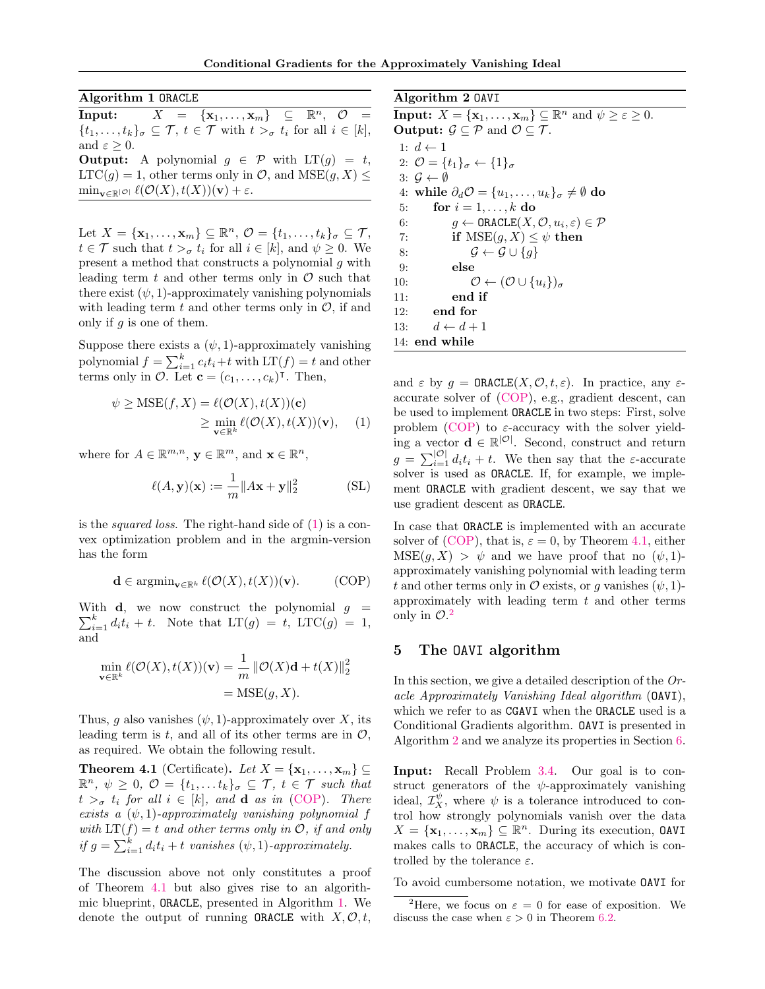<span id="page-3-3"></span>Algorithm 1 ORACLE

 $\text{Input:} \qquad X = \{ \mathbf{x}_1, \ldots, \mathbf{x}_m \} \subseteq \mathbb{R}^n, \ \ \mathcal{O} \ \ =$  $\{t_1,\ldots,t_k\}_{\sigma}\subseteq \mathcal{T},\ t\in \mathcal{T}$  with  $t >_{\sigma} t_i$  for all  $i \in [k],$ and  $\varepsilon > 0$ . **Output:** A polynomial  $g \in \mathcal{P}$  with  $LT(g) = t$ ,  $LTC(g) = 1$ , other terms only in  $\mathcal{O}$ , and  $MSE(g, X) \leq$  $\min_{\mathbf{v}\in\mathbb{R}^{|\mathcal{O}|}} \ell(\mathcal{O}(X), t(X))(\mathbf{v}) + \varepsilon.$ 

Let  $X = {\mathbf{x}_1, ..., \mathbf{x}_m} \subseteq \mathbb{R}^n$ ,  $\mathcal{O} = \{t_1, ..., t_k\}_{\sigma} \subseteq \mathcal{T}$ ,  $t \in \mathcal{T}$  such that  $t >_{\sigma} t_i$  for all  $i \in [k]$ , and  $\psi \geq 0$ . We present a method that constructs a polynomial g with leading term  $t$  and other terms only in  $\mathcal O$  such that there exist  $(\psi, 1)$ -approximately vanishing polynomials with leading term  $t$  and other terms only in  $\mathcal{O}$ , if and only if  $q$  is one of them.

Suppose there exists a  $(\psi, 1)$ -approximately vanishing polynomial  $f = \sum_{i=1}^{k} c_i t_i + t$  with  $LT(f) = t$  and other terms only in  $\mathcal{O}$ . Let  $\mathbf{c} = (c_1, \ldots, c_k)^\mathsf{T}$ . Then,

$$
\psi \ge \text{MSE}(f, X) = \ell(\mathcal{O}(X), t(X))(\mathbf{c})
$$
  
 
$$
\ge \min_{\mathbf{v} \in \mathbb{R}^k} \ell(\mathcal{O}(X), t(X))(\mathbf{v}), \quad (1)
$$

where for  $A \in \mathbb{R}^{m,n}$ ,  $\mathbf{y} \in \mathbb{R}^m$ , and  $\mathbf{x} \in \mathbb{R}^n$ ,

$$
\ell(A, \mathbf{y})(\mathbf{x}) := \frac{1}{m} \|A\mathbf{x} + \mathbf{y}\|_2^2
$$
 (SL)

is the squared loss. The right-hand side of [\(1\)](#page-3-0) is a convex optimization problem and in the argmin-version has the form

$$
\mathbf{d} \in \operatorname{argmin}_{\mathbf{v} \in \mathbb{R}^k} \ell(\mathcal{O}(X), t(X))(\mathbf{v}).
$$
 (COP)

With  $\mathbf{d}$ , we now construct the polynomial  $g =$  $\sum_{i=1}^{k} d_i t_i + t$ . Note that  $LT(g) = t$ ,  $LTC(g) = 1$ , and

$$
\min_{\mathbf{v} \in \mathbb{R}^k} \ell(\mathcal{O}(X), t(X))(\mathbf{v}) = \frac{1}{m} \|\mathcal{O}(X)\mathbf{d} + t(X)\|_2^2
$$

$$
= \text{MSE}(g, X).
$$

Thus, g also vanishes  $(\psi, 1)$ -approximately over X, its leading term is t, and all of its other terms are in  $\mathcal{O}$ , as required. We obtain the following result.

<span id="page-3-2"></span>**Theorem 4.1** (Certificate). Let  $X = {\mathbf{x}_1, \dots, \mathbf{x}_m} \subseteq$  $\mathbb{R}^n$ ,  $\psi \geq 0$ ,  $\mathcal{O} = \{t_1, \ldots t_k\}_{\sigma} \subseteq \mathcal{T}$ ,  $t \in \mathcal{T}$  such that  $t >_{\sigma} t_i$  for all  $i \in [k]$ , and **d** as in [\(COP\)](#page-3-1). There exists a  $(\psi, 1)$ -approximately vanishing polynomial f with  $LT(f) = t$  and other terms only in O, if and only if  $g = \sum_{i=1}^{k} d_i t_i + t$  vanishes  $(\psi, 1)$ -approximately.

The discussion above not only constitutes a proof of Theorem [4.1](#page-3-2) but also gives rise to an algorithmic blueprint, ORACLE, presented in Algorithm [1.](#page-3-3) We denote the output of running **ORACLE** with  $X, \mathcal{O}, t$ ,

<span id="page-3-5"></span>

| Algorithm 2 0AVI                                                                                             |
|--------------------------------------------------------------------------------------------------------------|
| <b>Input:</b> $X = {\mathbf{x}_1, , \mathbf{x}_m} \subseteq \mathbb{R}^n$ and $\psi \ge \varepsilon \ge 0$ . |
| <b>Output:</b> $\mathcal{G} \subset \mathcal{P}$ and $\mathcal{O} \subset \mathcal{T}$ .                     |
| 1: $d \leftarrow 1$                                                                                          |
| 2: $\mathcal{O} = \{t_1\}_{\sigma} \leftarrow \{1\}_{\sigma}$                                                |
| 3: $\mathcal{G} \leftarrow \emptyset$                                                                        |
| 4: while $\partial_d \mathcal{O} = \{u_1, \ldots, u_k\}_{\sigma} \neq \emptyset$ do                          |
| for $i = 1, \ldots, k$ do<br>5:                                                                              |
| $g \leftarrow \texttt{ORACLE}(X, \mathcal{O}, u_i, \varepsilon) \in \mathcal{P}$<br>6:                       |
| if $MSE(g, X) \leq \psi$ then<br>7:                                                                          |
| $\mathcal{G} \leftarrow \mathcal{G} \cup \{q\}$<br>8:                                                        |
| else<br>9:                                                                                                   |
| $\mathcal{O} \leftarrow (\mathcal{O} \cup \{u_i\})_\sigma$<br>10:                                            |
| end if<br>11:                                                                                                |
| end for<br>12:                                                                                               |
| $d \leftarrow d+1$<br>13:                                                                                    |
| 14: end while                                                                                                |

<span id="page-3-0"></span>and  $\varepsilon$  by  $g = \texttt{ORACLE}(X, \mathcal{O}, t, \varepsilon)$ . In practice, any  $\varepsilon$ accurate solver of [\(COP\)](#page-3-1), e.g., gradient descent, can be used to implement ORACLE in two steps: First, solve problem [\(COP\)](#page-3-1) to  $\varepsilon$ -accuracy with the solver yielding a vector  $\mathbf{d} \in \mathbb{R}^{|\mathcal{O}|}$ . Second, construct and return  $g = \sum_{i=1}^{\mathcal{O}} d_i t_i + t$ . We then say that the  $\varepsilon$ -accurate solver is used as ORACLE. If, for example, we implement ORACLE with gradient descent, we say that we use gradient descent as ORACLE.

<span id="page-3-6"></span><span id="page-3-1"></span>In case that ORACLE is implemented with an accurate solver of [\(COP\)](#page-3-1), that is,  $\varepsilon = 0$ , by Theorem [4.1,](#page-3-2) either  $MSE(g, X) > \psi$  and we have proof that no  $(\psi, 1)$ approximately vanishing polynomial with leading term t and other terms only in  $\mathcal O$  exists, or q vanishes  $(\psi, 1)$ approximately with leading term  $t$  and other terms only in  $\mathcal{O}.^2$  $\mathcal{O}.^2$ 

### <span id="page-3-7"></span>5 The OAVI algorithm

In this section, we give a detailed description of the Oracle Approximately Vanishing Ideal algorithm (OAVI), which we refer to as CGAVI when the ORACLE used is a Conditional Gradients algorithm. OAVI is presented in Algorithm [2](#page-3-5) and we analyze its properties in Section [6.](#page-4-0)

Input: Recall Problem [3.4.](#page-2-0) Our goal is to construct generators of the  $\psi$ -approximately vanishing ideal,  $\mathcal{I}_{X}^{\psi}$ , where  $\psi$  is a tolerance introduced to control how strongly polynomials vanish over the data  $X = {\mathbf{x}_1, ..., \mathbf{x}_m} \subseteq \mathbb{R}^n$ . During its execution, **OAVI** makes calls to ORACLE, the accuracy of which is controlled by the tolerance  $\varepsilon$ .

To avoid cumbersome notation, we motivate OAVI for

<span id="page-3-4"></span><sup>&</sup>lt;sup>2</sup>Here, we focus on  $\varepsilon = 0$  for ease of exposition. We discuss the case when  $\varepsilon > 0$  in Theorem [6.2.](#page-4-1)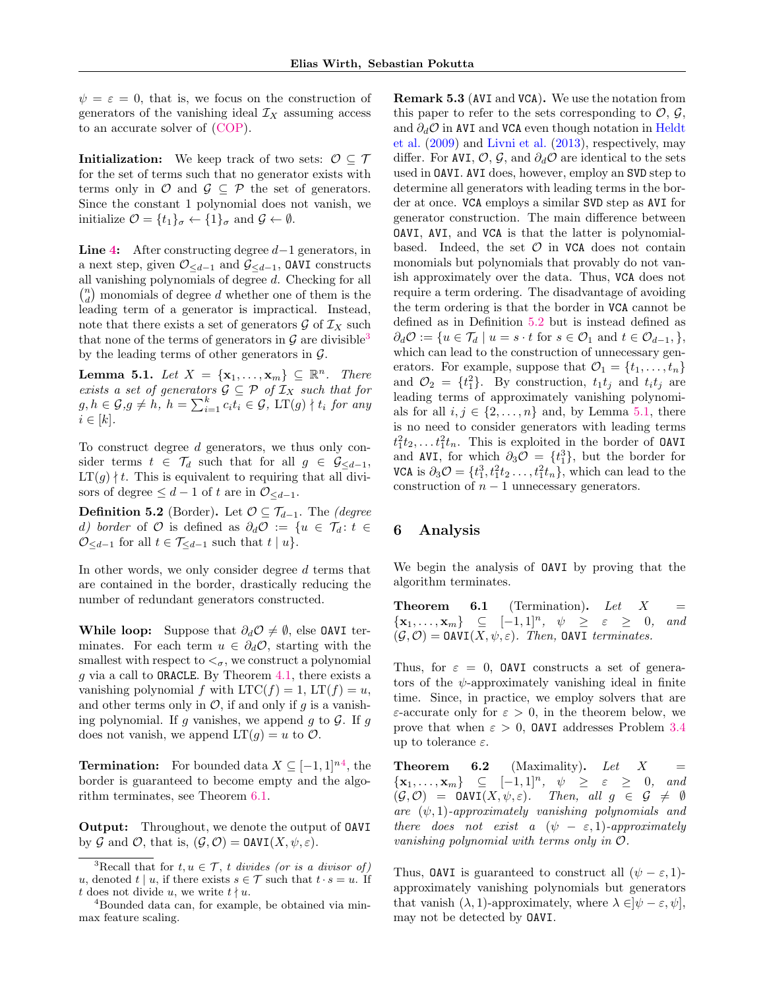$\psi = \varepsilon = 0$ , that is, we focus on the construction of generators of the vanishing ideal  $\mathcal{I}_X$  assuming access to an accurate solver of [\(COP\)](#page-3-1).

**Initialization:** We keep track of two sets:  $\mathcal{O} \subseteq \mathcal{T}$ for the set of terms such that no generator exists with terms only in  $\mathcal{O}$  and  $\mathcal{G} \subseteq \mathcal{P}$  the set of generators. Since the constant 1 polynomial does not vanish, we initialize  $\mathcal{O} = \{t_1\}_{\sigma} \leftarrow \{1\}_{\sigma}$  and  $\mathcal{G} \leftarrow \emptyset$ .

**Line [4:](#page-3-5)** After constructing degree  $d-1$  generators, in a next step, given  $\mathcal{O}_{\leq d-1}$  and  $\mathcal{G}_{\leq d-1}$ , **OAVI** constructs all vanishing polynomials of degree d. Checking for all  $\binom{n}{d}$  monomials of degree  $d$  whether one of them is the leading term of a generator is impractical. Instead, note that there exists a set of generators  $\mathcal G$  of  $\mathcal I_X$  such that none of the terms of generators in  $\mathcal G$  are divisible<sup>[3](#page-4-2)</sup> by the leading terms of other generators in  $\mathcal{G}$ .

<span id="page-4-6"></span>**Lemma 5.1.** Let  $X = {\mathbf{x}_1, ..., \mathbf{x}_m} \subseteq \mathbb{R}^n$ . There exists a set of generators  $\mathcal{G} \subseteq \mathcal{P}$  of  $\mathcal{I}_X$  such that for  $g, h \in \mathcal{G}, g \neq h, h = \sum_{i=1}^{k} c_i \overline{t_i} \in \mathcal{G}, \, LT(g) \nmid t_i \text{ for any }$  $i \in [k]$ .

To construct degree d generators, we thus only consider terms  $t \in \mathcal{T}_d$  such that for all  $g \in \mathcal{G}_{\leq d-1}$ ,  $LT(g) \nmid t$ . This is equivalent to requiring that all divisors of degree  $\leq d-1$  of t are in  $\mathcal{O}_{\leq d-1}$ .

<span id="page-4-5"></span>**Definition 5.2** (Border). Let  $\mathcal{O} \subseteq \mathcal{T}_{d-1}$ . The *(degree*) d) border of  $O$  is defined as  $\partial_d O := \{u \in \mathcal{T}_d : t \in$  $\mathcal{O}_{\leq d-1}$  for all  $t \in \mathcal{T}_{\leq d-1}$  such that  $t \mid u$ .

In other words, we only consider degree d terms that are contained in the border, drastically reducing the number of redundant generators constructed.

While loop: Suppose that  $\partial_d \mathcal{O} \neq \emptyset$ , else OAVI terminates. For each term  $u \in \partial_d \mathcal{O}$ , starting with the smallest with respect to  $\lt_{\sigma}$ , we construct a polynomial g via a call to ORACLE. By Theorem [4.1,](#page-3-2) there exists a vanishing polynomial f with  $LTC(f) = 1$ ,  $LT(f) = u$ , and other terms only in  $\mathcal{O}$ , if and only if q is a vanishing polynomial. If g vanishes, we append g to  $G$ . If g does not vanish, we append  $LT(g) = u$  to  $\mathcal{O}$ .

**Termination:** For bounded data  $X \subseteq [-1, 1]^{n4}$  $X \subseteq [-1, 1]^{n4}$  $X \subseteq [-1, 1]^{n4}$ , the border is guaranteed to become empty and the algorithm terminates, see Theorem [6.1.](#page-4-4)

Output: Throughout, we denote the output of OAVI by G and O, that is,  $(\mathcal{G}, \mathcal{O}) = \text{OAVI}(X, \psi, \varepsilon)$ .

<span id="page-4-7"></span>Remark 5.3 (AVI and VCA). We use the notation from this paper to refer to the sets corresponding to  $\mathcal{O}, \mathcal{G},$ and  $\partial_d \mathcal{O}$  in AVI and VCA even though notation in [Heldt](#page-9-1) [et al.](#page-9-1) [\(2009\)](#page-9-1) and [Livni et al.](#page-10-1) [\(2013\)](#page-10-1), respectively, may differ. For AVI,  $\mathcal{O}, \mathcal{G}$ , and  $\partial_d \mathcal{O}$  are identical to the sets used in OAVI. AVI does, however, employ an SVD step to determine all generators with leading terms in the border at once. VCA employs a similar SVD step as AVI for generator construction. The main difference between OAVI, AVI, and VCA is that the latter is polynomialbased. Indeed, the set  $\mathcal O$  in VCA does not contain monomials but polynomials that provably do not vanish approximately over the data. Thus, VCA does not require a term ordering. The disadvantage of avoiding the term ordering is that the border in VCA cannot be defined as in Definition [5.2](#page-4-5) but is instead defined as  $\partial_d \mathcal{O} := \{u \in \mathcal{T}_d \mid u = s \cdot t \text{ for } s \in \mathcal{O}_1 \text{ and } t \in \mathcal{O}_{d-1}, \},\$ which can lead to the construction of unnecessary generators. For example, suppose that  $\mathcal{O}_1 = \{t_1, \ldots, t_n\}$ and  $\mathcal{O}_2 = \{t_1^2\}$ . By construction,  $t_1 t_j$  and  $t_i t_j$  are leading terms of approximately vanishing polynomials for all  $i, j \in \{2, \ldots, n\}$  and, by Lemma [5.1,](#page-4-6) there is no need to consider generators with leading terms  $t_1^2 t_2, \ldots t_1^2 t_n$ . This is exploited in the border of **OAVI** and AVI, for which  $\partial_3 \mathcal{O} = \{t_1^3\}$ , but the border for VCA is  $\partial_3 \mathcal{O} = \{t_1^3, t_1^2 t_2 \dots, t_1^2 t_n\}$ , which can lead to the construction of  $n - 1$  unnecessary generators.

# <span id="page-4-0"></span>6 Analysis

We begin the analysis of OAVI by proving that the algorithm terminates.

<span id="page-4-4"></span>**Theorem 6.1** (Termination). Let  $X =$  $\{x_1, \ldots, x_m\} \subseteq [-1,1]^n, \psi \geq \varepsilon \geq 0, \text{ and}$  $(\mathcal{G}, \mathcal{O}) = \text{OAVI}(X, \psi, \varepsilon)$ . Then, CAVI terminates.

Thus, for  $\varepsilon = 0$ , DAVI constructs a set of generators of the  $\psi$ -approximately vanishing ideal in finite time. Since, in practice, we employ solvers that are ε-accurate only for ε > 0, in the theorem below, we prove that when  $\varepsilon > 0$ , **OAVI** addresses Problem [3.4](#page-2-0) up to tolerance  $\varepsilon$ .

<span id="page-4-1"></span>**Theorem 6.2** (Maximality). Let  $X =$  $\{x_1, \ldots, x_m\} \subseteq [-1, 1]^n, \psi \geq \varepsilon \geq 0, \text{ and}$  $(\mathcal{G}, \mathcal{O}) = \texttt{OAVI}(X, \psi, \varepsilon).$  Then, all  $g \in \mathcal{G} \neq \emptyset$ are  $(\psi, 1)$ -approximately vanishing polynomials and there does not exist a  $(\psi - \varepsilon, 1)$ -approximately vanishing polynomial with terms only in O.

Thus, OAVI is guaranteed to construct all  $(\psi - \varepsilon, 1)$ approximately vanishing polynomials but generators that vanish  $(\lambda, 1)$ -approximately, where  $\lambda \in ]\psi - \varepsilon, \psi],$ may not be detected by OAVI.

<span id="page-4-2"></span><sup>&</sup>lt;sup>3</sup>Recall that for  $t, u \in \mathcal{T}$ , t divides (or is a divisor of) u, denoted t | u, if there exists  $s \in \mathcal{T}$  such that  $t \cdot s = u$ . If t does not divide u, we write  $t \nmid u$ .

<span id="page-4-3"></span><sup>4</sup>Bounded data can, for example, be obtained via minmax feature scaling.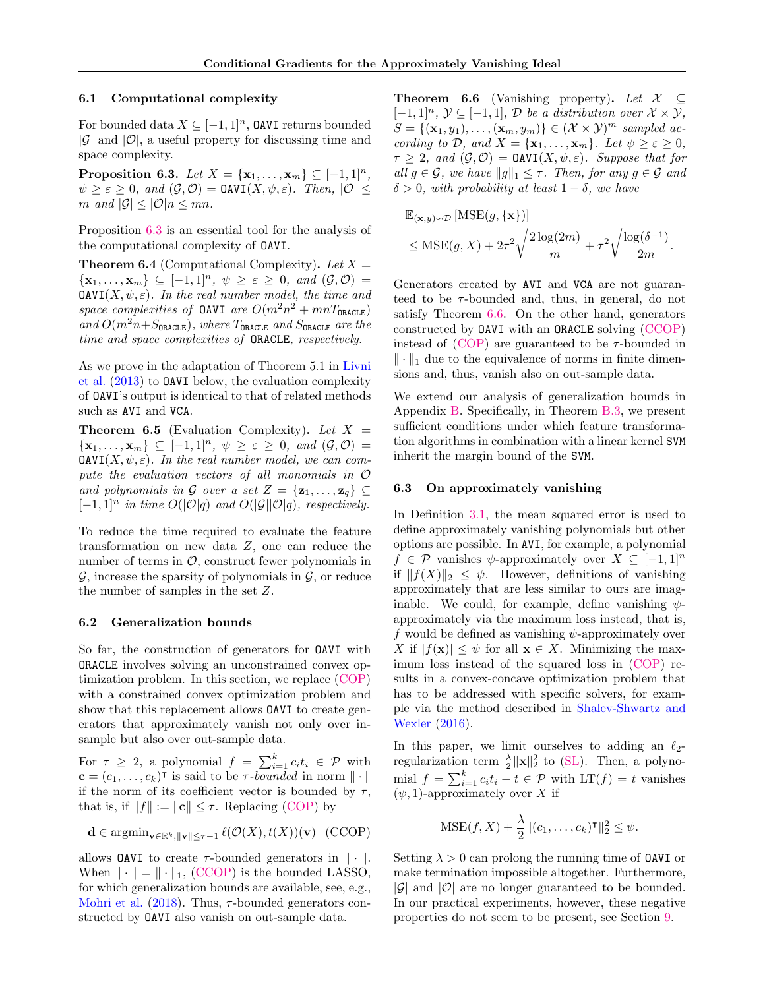#### 6.1 Computational complexity

For bounded data  $X \subseteq [-1,1]^n$ , **OAVI** returns bounded  $|\mathcal{G}|$  and  $|\mathcal{O}|$ , a useful property for discussing time and space complexity.

<span id="page-5-0"></span>**Proposition 6.3.** Let  $X = \{x_1, ..., x_m\}$  ⊆ [−1, 1]<sup>n</sup>,  $\psi \geq \varepsilon \geq 0$ , and  $(\mathcal{G}, \mathcal{O}) = \text{OAVI}(X, \psi, \varepsilon)$ . Then,  $|\mathcal{O}| \leq$ m and  $|\mathcal{G}| \leq |\mathcal{O}|n \leq mn$ .

Proposition [6.3](#page-5-0) is an essential tool for the analysis of the computational complexity of OAVI.

<span id="page-5-3"></span>**Theorem 6.4** (Computational Complexity). Let  $X =$  $\{x_1, \ldots, x_m\} \subseteq [-1,1]^n, \ \psi \geq \varepsilon \geq 0, \ and \ (\mathcal{G}, \mathcal{O}) =$  $\text{OAVI}(X, \psi, \varepsilon)$ . In the real number model, the time and space complexities of OAVI are  $O(m^2n^2 + mnT_{\texttt{ORACLE}})$ and  $O(m^2n + S_{\text{ORACLE}})$ , where  $T_{\text{ORACLE}}$  and  $S_{\text{ORACLE}}$  are the time and space complexities of ORACLE, respectively.

As we prove in the adaptation of Theorem 5.1 in [Livni](#page-10-1) [et al.](#page-10-1) [\(2013\)](#page-10-1) to OAVI below, the evaluation complexity of OAVI's output is identical to that of related methods such as AVI and VCA.

<span id="page-5-4"></span>**Theorem 6.5** (Evaluation Complexity). Let  $X =$  $\{\mathbf x_1,\ldots,\mathbf x_m\}\subseteq[-1,1]^n, \ \psi\geq\varepsilon\geq 0, \ and \ (\mathcal G,\mathcal O)=$  $\text{OAVI}(X, \psi, \varepsilon)$ . In the real number model, we can compute the evaluation vectors of all monomials in O and polynomials in G over a set  $Z = {\mathbf{z}_1, \ldots, \mathbf{z}_q} \subset$  $[-1, 1]^n$  in time  $O(|\mathcal{O}|q)$  and  $O(|\mathcal{G}||\mathcal{O}|q)$ , respectively.

To reduce the time required to evaluate the feature transformation on new data Z, one can reduce the number of terms in  $\mathcal{O}$ , construct fewer polynomials in  $\mathcal{G}$ , increase the sparsity of polynomials in  $\mathcal{G}$ , or reduce the number of samples in the set Z.

### 6.2 Generalization bounds

So far, the construction of generators for OAVI with ORACLE involves solving an unconstrained convex optimization problem. In this section, we replace [\(COP\)](#page-3-1) with a constrained convex optimization problem and show that this replacement allows OAVI to create generators that approximately vanish not only over insample but also over out-sample data.

For  $\tau \geq 2$ , a polynomial  $f = \sum_{i=1}^{k} c_i t_i \in \mathcal{P}$  with  $\mathbf{c} = (c_1, \ldots, c_k)^\intercal$  is said to be  $\tau$ -bounded in norm  $\|\cdot\|$ if the norm of its coefficient vector is bounded by  $\tau$ , that is, if  $||f|| := ||c|| \leq \tau$ . Replacing [\(COP\)](#page-3-1) by

$$
\mathbf{d} \in \operatorname{argmin}_{\mathbf{v} \in \mathbb{R}^k, \|\mathbf{v}\| \le \tau - 1} \ell(\mathcal{O}(X), t(X))(\mathbf{v}) \quad \text{(CCOP)}
$$

allows **OAVI** to create  $\tau$ -bounded generators in  $\|\cdot\|$ . When  $\|\cdot\| = \|\cdot\|_1$ , [\(CCOP\)](#page-5-1) is the bounded LASSO, for which generalization bounds are available, see, e.g., [Mohri et al.](#page-10-21)  $(2018)$ . Thus,  $\tau$ -bounded generators constructed by OAVI also vanish on out-sample data.

<span id="page-5-2"></span>**Theorem 6.6** (Vanishing property). Let  $\mathcal{X} \subset$  $[-1, 1]^n$ ,  $\mathcal{Y} \subseteq [-1, 1]$ ,  $\mathcal{D}$  be a distribution over  $\mathcal{X} \times \mathcal{Y}$ ,  $S = \{(\mathbf{x}_1, y_1), \dots, (\mathbf{x}_m, y_m)\} \in (\mathcal{X} \times \mathcal{Y})^m$  sampled according to D, and  $X = {\mathbf{x}_1, \dots, \mathbf{x}_m}$ . Let  $\psi \ge \varepsilon \ge 0$ ,  $\tau \geq 2$ , and  $(\mathcal{G}, \mathcal{O}) = \text{OAVI}(X, \psi, \varepsilon)$ . Suppose that for all  $g \in \mathcal{G}$ , we have  $||g||_1 \leq \tau$ . Then, for any  $g \in \mathcal{G}$  and  $\delta > 0$ , with probability at least  $1 - \delta$ , we have

$$
\mathbb{E}_{(\mathbf{x},y)\sim\mathcal{D}}\left[\text{MSE}(g,\{\mathbf{x}\})\right] \leq \text{MSE}(g,X) + 2\tau^2 \sqrt{\frac{2\log(2m)}{m}} + \tau^2 \sqrt{\frac{\log(\delta^{-1})}{2m}}.
$$

Generators created by AVI and VCA are not guaranteed to be  $\tau$ -bounded and, thus, in general, do not satisfy Theorem [6.6.](#page-5-2) On the other hand, generators constructed by OAVI with an ORACLE solving [\(CCOP\)](#page-5-1) instead of  $(COP)$  are guaranteed to be  $\tau$ -bounded in  $\|\cdot\|_1$  due to the equivalence of norms in finite dimensions and, thus, vanish also on out-sample data.

We extend our analysis of generalization bounds in Appendix [B.](#page-14-0) Specifically, in Theorem [B.3,](#page-15-0) we present sufficient conditions under which feature transformation algorithms in combination with a linear kernel SVM inherit the margin bound of the SVM.

### 6.3 On approximately vanishing

In Definition [3.1,](#page-2-1) the mean squared error is used to define approximately vanishing polynomials but other options are possible. In AVI, for example, a polynomial  $f \in \mathcal{P}$  vanishes  $\psi$ -approximately over  $X \subseteq [-1,1]^n$ if  $||f(X)||_2 \leq \psi$ . However, definitions of vanishing approximately that are less similar to ours are imaginable. We could, for example, define vanishing  $\psi$ approximately via the maximum loss instead, that is, f would be defined as vanishing  $\psi$ -approximately over X if  $|f(\mathbf{x})| \leq \psi$  for all  $\mathbf{x} \in X$ . Minimizing the maximum loss instead of the squared loss in [\(COP\)](#page-3-1) results in a convex-concave optimization problem that has to be addressed with specific solvers, for example via the method described in [Shalev-Shwartz and](#page-10-22) [Wexler](#page-10-22) [\(2016\)](#page-10-22).

In this paper, we limit ourselves to adding an  $\ell_2$ regularization term  $\frac{\lambda}{2} ||\mathbf{x}||_2^2$  to [\(SL\)](#page-3-6). Then, a polynomial  $f = \sum_{i=1}^{k} c_i t_i + t \in \mathcal{P}$  with  $LT(f) = t$  vanishes  $(\psi, 1)$ -approximately over X if

$$
\text{MSE}(f, X) + \frac{\lambda}{2} || (c_1, \dots, c_k)^\intercal ||_2^2 \le \psi.
$$

<span id="page-5-1"></span>Setting  $\lambda > 0$  can prolong the running time of **OAVI** or make termination impossible altogether. Furthermore,  $|\mathcal{G}|$  and  $|\mathcal{O}|$  are no longer guaranteed to be bounded. In our practical experiments, however, these negative properties do not seem to be present, see Section [9.](#page-6-1)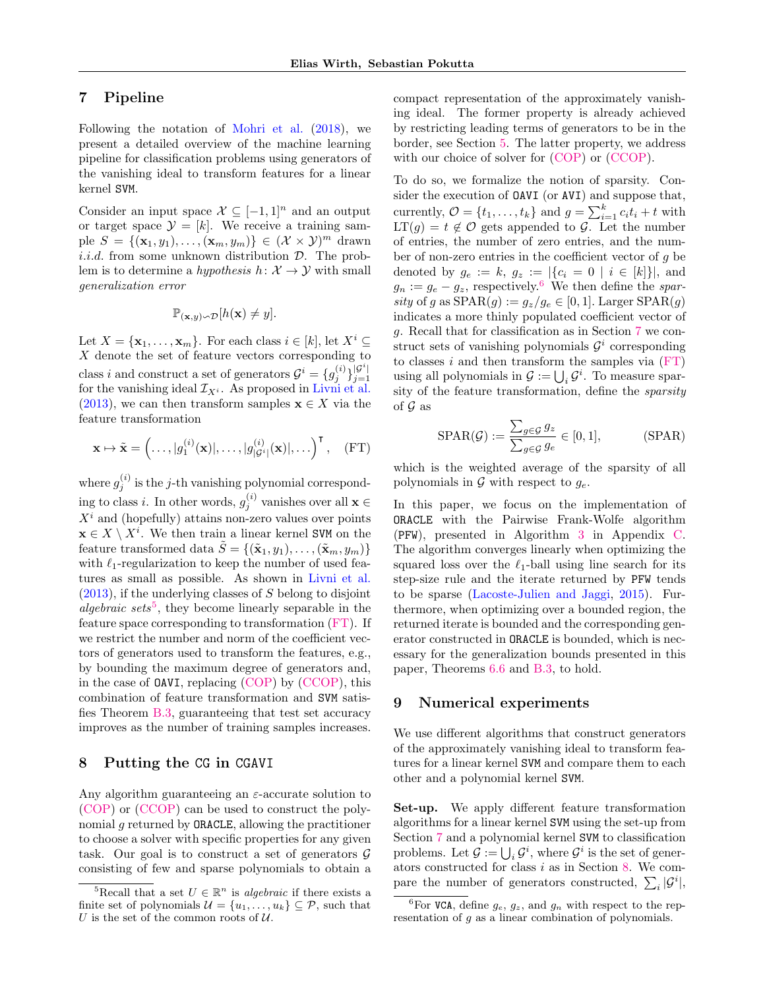# <span id="page-6-0"></span>7 Pipeline

Following the notation of [Mohri et al.](#page-10-21) [\(2018\)](#page-10-21), we present a detailed overview of the machine learning pipeline for classification problems using generators of the vanishing ideal to transform features for a linear kernel SVM.

Consider an input space  $\mathcal{X} \subseteq [-1,1]^n$  and an output or target space  $\mathcal{Y} = [k]$ . We receive a training sample  $S = \{(\mathbf{x}_1, y_1), \ldots, (\mathbf{x}_m, y_m)\}\in (\mathcal{X} \times \mathcal{Y})^m$  drawn *i.i.d.* from some unknown distribution  $\mathcal{D}$ . The problem is to determine a *hypothesis*  $h: \mathcal{X} \rightarrow \mathcal{Y}$  with small generalization error

$$
\mathbb{P}_{(\mathbf{x},y)\sim\mathcal{D}}[h(\mathbf{x})\neq y].
$$

Let  $X = {\mathbf{x}_1, \dots, \mathbf{x}_m}$ . For each class  $i \in [k]$ , let  $X^i \subseteq$  $X$  denote the set of feature vectors corresponding to class *i* and construct a set of generators  $\mathcal{G}^i = \{g_j^{(i)}\}_{j=1}^{|\mathcal{G}^i|}$ class *i* and construct a set of generators  $\mathbf{y} = \{y_j : j_{j=1} \}$  for the vanishing ideal  $\mathcal{I}_{X^i}$ . As proposed in [Livni et al.](#page-10-1) [\(2013\)](#page-10-1), we can then transform samples  $\mathbf{x} \in X$  via the feature transformation

$$
\mathbf{x} \mapsto \tilde{\mathbf{x}} = \left(\ldots, |g_1^{(i)}(\mathbf{x})|, \ldots, |g_{|\mathcal{G}^i|}^{(i)}(\mathbf{x})|, \ldots\right)^\mathsf{T}, \quad \text{(FT)}
$$

where  $g_j^{(i)}$  is the j-th vanishing polynomial corresponding to class *i*. In other words,  $g_j^{(i)}$  vanishes over all  $\mathbf{x} \in$  $X<sup>i</sup>$  and (hopefully) attains non-zero values over points  $\mathbf{x} \in X \setminus X^i$ . We then train a linear kernel SVM on the feature transformed data  $\tilde{S} = \{(\tilde{\mathbf{x}}_1, y_1), \dots, (\tilde{\mathbf{x}}_m, y_m)\}\$ with  $\ell_1$ -regularization to keep the number of used features as small as possible. As shown in [Livni et al.](#page-10-1)  $(2013)$ , if the underlying classes of S belong to disjoint algebraic sets<sup>[5](#page-6-2)</sup>, they become linearly separable in the feature space corresponding to transformation [\(FT\)](#page-6-3). If we restrict the number and norm of the coefficient vectors of generators used to transform the features, e.g., by bounding the maximum degree of generators and, in the case of OAVI, replacing [\(COP\)](#page-3-1) by [\(CCOP\)](#page-5-1), this combination of feature transformation and SVM satisfies Theorem [B.3,](#page-15-0) guaranteeing that test set accuracy improves as the number of training samples increases.

# <span id="page-6-5"></span>8 Putting the CG in CGAVI

Any algorithm guaranteeing an  $\varepsilon$ -accurate solution to [\(COP\)](#page-3-1) or [\(CCOP\)](#page-5-1) can be used to construct the polynomial g returned by ORACLE, allowing the practitioner to choose a solver with specific properties for any given task. Our goal is to construct a set of generators  $\mathcal G$ consisting of few and sparse polynomials to obtain a compact representation of the approximately vanishing ideal. The former property is already achieved by restricting leading terms of generators to be in the border, see Section [5.](#page-3-7) The latter property, we address with our choice of solver for  $(COP)$  or  $(CCOP)$ .

To do so, we formalize the notion of sparsity. Consider the execution of OAVI (or AVI) and suppose that, currently,  $\mathcal{O} = \{t_1, \ldots, t_k\}$  and  $g = \sum_{i=1}^k c_i t_i + t$  with  $LT(g) = t \notin \mathcal{O}$  gets appended to  $\mathcal{G}$ . Let the number of entries, the number of zero entries, and the number of non-zero entries in the coefficient vector of g be denoted by  $g_e := k, g_z := |\{c_i = 0 \mid i \in [k]\}|$ , and  $g_n := g_e - g_z$ , respectively.<sup>[6](#page-6-4)</sup> We then define the sparsity of g as  $SPAR(g) := g_z/g_e \in [0, 1]$ . Larger  $SPAR(g)$ indicates a more thinly populated coefficient vector of g. Recall that for classification as in Section [7](#page-6-0) we construct sets of vanishing polynomials  $\mathcal{G}^i$  corresponding to classes  $i$  and then transform the samples via  $(FT)$ using all polynomials in  $\mathcal{G} := \bigcup_i \mathcal{G}^i$ . To measure sparsity of the feature transformation, define the sparsity of  $\mathcal G$  as

<span id="page-6-6"></span>
$$
SPAR(\mathcal{G}) := \frac{\sum_{g \in \mathcal{G}} g_z}{\sum_{g \in \mathcal{G}} g_e} \in [0, 1],
$$
 (SPAR)

<span id="page-6-3"></span>which is the weighted average of the sparsity of all polynomials in  $\mathcal G$  with respect to  $g_e$ .

In this paper, we focus on the implementation of ORACLE with the Pairwise Frank-Wolfe algorithm (PFW), presented in Algorithm [3](#page-16-0) in Appendix [C.](#page-15-1) The algorithm converges linearly when optimizing the squared loss over the  $\ell_1$ -ball using line search for its step-size rule and the iterate returned by PFW tends to be sparse [\(Lacoste-Julien and Jaggi,](#page-10-3) [2015\)](#page-10-3). Furthermore, when optimizing over a bounded region, the returned iterate is bounded and the corresponding generator constructed in ORACLE is bounded, which is necessary for the generalization bounds presented in this paper, Theorems [6.6](#page-5-2) and [B.3,](#page-15-0) to hold.

# <span id="page-6-1"></span>9 Numerical experiments

We use different algorithms that construct generators of the approximately vanishing ideal to transform features for a linear kernel SVM and compare them to each other and a polynomial kernel SVM.

Set-up. We apply different feature transformation algorithms for a linear kernel SVM using the set-up from Section [7](#page-6-0) and a polynomial kernel SVM to classification problems. Let  $\mathcal{G} := \bigcup_i \mathcal{G}^i$ , where  $\mathcal{G}^i$  is the set of generators constructed for class  $i$  as in Section [8.](#page-6-5) We compare the number of generators constructed,  $\sum_i |\mathcal{G}^i|$ ,

<span id="page-6-2"></span><sup>&</sup>lt;sup>5</sup>Recall that a set  $U \in \mathbb{R}^n$  is *algebraic* if there exists a finite set of polynomials  $\mathcal{U} = \{u_1, \ldots, u_k\} \subseteq \mathcal{P}$ , such that U is the set of the common roots of  $U$ .

<span id="page-6-4"></span><sup>&</sup>lt;sup>6</sup>For VCA, define  $g_e, g_z$ , and  $g_n$  with respect to the representation of g as a linear combination of polynomials.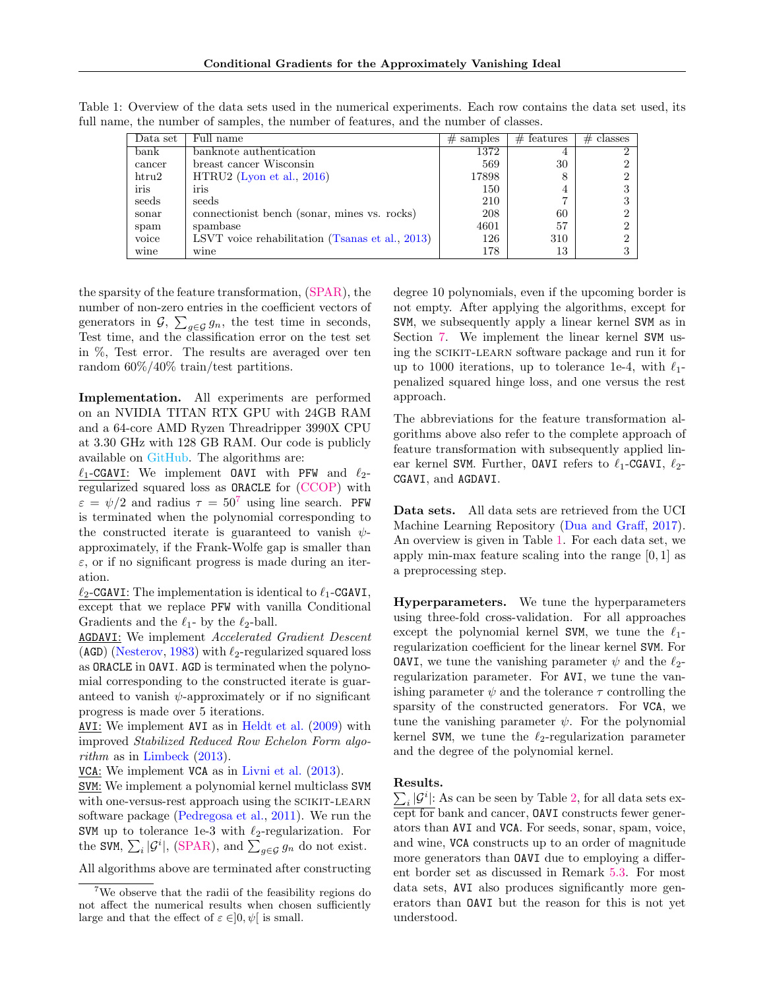<span id="page-7-1"></span>

| Data set    | Full name                                       | $#$ samples | $#$ features | $#$ classes |
|-------------|-------------------------------------------------|-------------|--------------|-------------|
| bank        | banknote authentication                         | 1372        | 4            |             |
| cancer      | breast cancer Wisconsin                         | 569         | 30           |             |
| $h$ tru $2$ | $HTRU2$ (Lyon et al., 2016)                     | 17898       | 8            |             |
| iris        | iris                                            | 150         | 4            |             |
| seeds       | seeds                                           | 210         | ⇁            |             |
| sonar       | connections tbench (sonar, mines vs. rocks)     | 208         | 60           |             |
| spam        | spambase                                        | 4601        | 57           |             |
| voice       | LSVT voice rehabilitation (Tsanas et al., 2013) | 126         | 310          |             |
| wine        | wine                                            | 178         | 13           |             |

Table 1: Overview of the data sets used in the numerical experiments. Each row contains the data set used, its full name, the number of samples, the number of features, and the number of classes.

the sparsity of the feature transformation, [\(SPAR\)](#page-6-6), the number of non-zero entries in the coefficient vectors of generators in  $\mathcal{G}, \sum_{g \in \mathcal{G}} g_n$ , the test time in seconds, Test time, and the classification error on the test set in %, Test error. The results are averaged over ten random 60%/40% train/test partitions.

Implementation. All experiments are performed on an NVIDIA TITAN RTX GPU with 24GB RAM and a 64-core AMD Ryzen Threadripper 3990X CPU at 3.30 GHz with 128 GB RAM. Our code is publicly available on [GitHub.](https://github.com/ZIB-IOL/cgavi/releases/tag/v1.0.0) The algorithms are:

 $\ell_1$ -CGAVI: We implement OAVI with PFW and  $\ell_2$ regularized squared loss as ORACLE for [\(CCOP\)](#page-5-1) with  $\varepsilon = \psi/2$  and radius  $\tau = 50^7$  $\tau = 50^7$  using line search. PFW is terminated when the polynomial corresponding to the constructed iterate is guaranteed to vanish  $\psi$ approximately, if the Frank-Wolfe gap is smaller than  $\varepsilon$ , or if no significant progress is made during an iteration.

 $\ell_2$ -CGAVI: The implementation is identical to  $\ell_1$ -CGAVI, except that we replace PFW with vanilla Conditional Gradients and the  $\ell_1$ - by the  $\ell_2$ -ball.

**AGDAVI:** We implement Accelerated Gradient Descent (AGD) [\(Nesterov,](#page-10-25) [1983\)](#page-10-25) with  $\ell_2$ -regularized squared loss as ORACLE in OAVI. AGD is terminated when the polynomial corresponding to the constructed iterate is guaranteed to vanish  $\psi$ -approximately or if no significant progress is made over 5 iterations.

AVI: We implement AVI as in [Heldt et al.](#page-9-1) [\(2009\)](#page-9-1) with improved Stabilized Reduced Row Echelon Form algorithm as in [Limbeck](#page-10-2) [\(2013\)](#page-10-2).

VCA: We implement VCA as in [Livni et al.](#page-10-1) [\(2013\)](#page-10-1).

SVM: We implement a polynomial kernel multiclass SVM with one-versus-rest approach using the SCIKIT-LEARN software package [\(Pedregosa et al.,](#page-10-26) [2011\)](#page-10-26). We run the SVM up to tolerance 1e-3 with  $\ell_2$ -regularization. For the SVM,  $\sum_i |\mathcal{G}^i|$ , [\(SPAR\)](#page-6-6), and  $\sum_{g \in \mathcal{G}} g_n$  do not exist.

All algorithms above are terminated after constructing

degree 10 polynomials, even if the upcoming border is not empty. After applying the algorithms, except for SVM, we subsequently apply a linear kernel SVM as in Section [7.](#page-6-0) We implement the linear kernel SVM using the scikit-learn software package and run it for up to 1000 iterations, up to tolerance 1e-4, with  $\ell_1$ penalized squared hinge loss, and one versus the rest approach.

The abbreviations for the feature transformation algorithms above also refer to the complete approach of feature transformation with subsequently applied linear kernel SVM. Further, OAVI refers to  $\ell_1$ -CGAVI,  $\ell_2$ -CGAVI, and AGDAVI.

Data sets. All data sets are retrieved from the UCI Machine Learning Repository [\(Dua and Graff,](#page-9-25) [2017\)](#page-9-25). An overview is given in Table [1.](#page-7-1) For each data set, we apply min-max feature scaling into the range [0, 1] as a preprocessing step.

Hyperparameters. We tune the hyperparameters using three-fold cross-validation. For all approaches except the polynomial kernel SVM, we tune the  $\ell_1$ regularization coefficient for the linear kernel SVM. For **OAVI**, we tune the vanishing parameter  $\psi$  and the  $\ell_2$ regularization parameter. For AVI, we tune the vanishing parameter  $\psi$  and the tolerance  $\tau$  controlling the sparsity of the constructed generators. For VCA, we tune the vanishing parameter  $\psi$ . For the polynomial kernel SVM, we tune the  $\ell_2$ -regularization parameter and the degree of the polynomial kernel.

### Results.

 $\sum_i |\mathcal{G}^i|$ : As can be seen by Table [2,](#page-8-0) for all data sets except for bank and cancer, OAVI constructs fewer generators than AVI and VCA. For seeds, sonar, spam, voice, and wine, VCA constructs up to an order of magnitude more generators than OAVI due to employing a different border set as discussed in Remark [5.3.](#page-4-7) For most data sets, AVI also produces significantly more generators than OAVI but the reason for this is not yet understood.

<span id="page-7-0"></span><sup>7</sup>We observe that the radii of the feasibility regions do not affect the numerical results when chosen sufficiently large and that the effect of  $\varepsilon \in ]0, \psi[$  is small.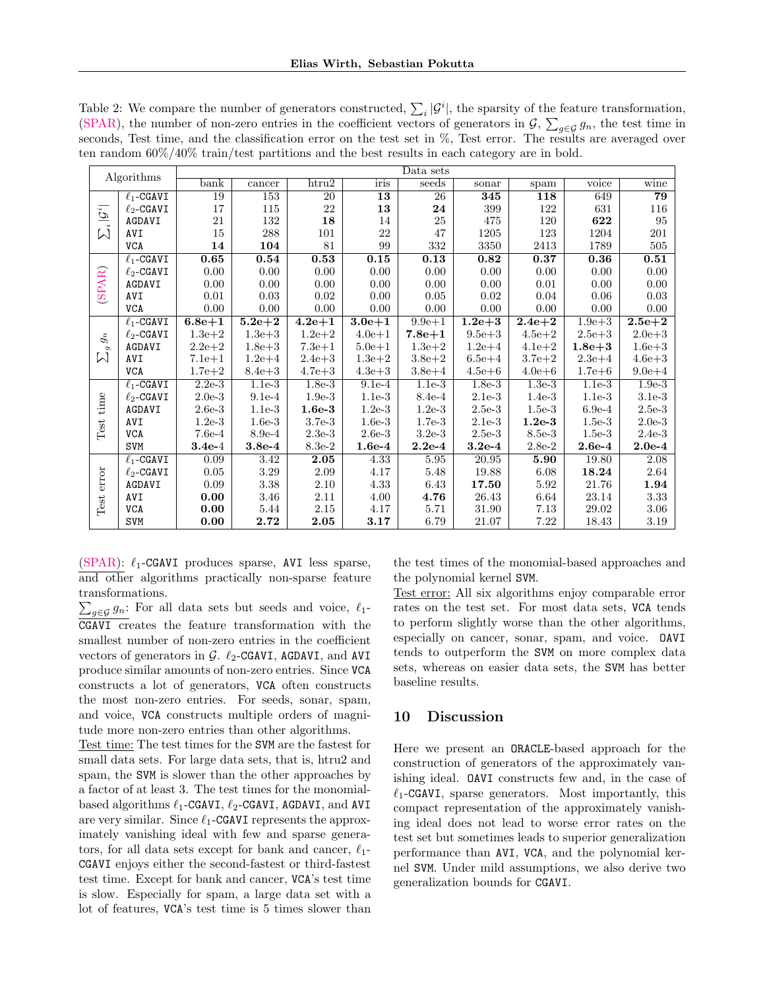| Algorithms                                    |                 | Data sets      |            |                 |            |                 |            |            |            |                 |
|-----------------------------------------------|-----------------|----------------|------------|-----------------|------------|-----------------|------------|------------|------------|-----------------|
|                                               |                 | $_{\rm{bank}}$ | cancer     | $h$ tru $2$     | iris       | seeds           | sonar      | spam       | voice      | wine            |
| $\overline{\mathcal{G}}$<br>Ŵ                 | $\ell_1$ -CGAVI | 19             | 153        | $\overline{20}$ | 13         | $\overline{26}$ | 345        | 118        | 649        | $\overline{79}$ |
|                                               | $\ell_2$ -CGAVI | 17             | 115        | $22\,$          | 13         | 24              | 399        | 122        | 631        | 116             |
|                                               | AGDAVI          | 21             | 132        | 18              | 14         | 25              | 475        | 120        | 622        | 95              |
|                                               | AVI             | 15             | 288        | 101             | 22         | 47              | 1205       | 123        | 1204       | 201             |
|                                               | <b>VCA</b>      | 14             | 104        | 81              | 99         | 332             | 3350       | 2413       | 1789       | 505             |
|                                               | $\ell_1$ -CGAVI | 0.65           | 0.54       | 0.53            | 0.15       | 0.13            | 0.82       | 0.37       | 0.36       | 0.51            |
|                                               | $\ell_2$ -CGAVI | 0.00           | 0.00       | 0.00            | 0.00       | 0.00            | 0.00       | 0.00       | 0.00       | 0.00            |
|                                               | AGDAVI          | 0.00           | 0.00       | 0.00            | 0.00       | 0.00            | 0.00       | 0.01       | 0.00       | 0.00            |
| (SPAR)                                        | <b>AVI</b>      | 0.01           | 0.03       | 0.02            | 0.00       | 0.05            | 0.02       | 0.04       | 0.06       | 0.03            |
|                                               | <b>VCA</b>      | 0.00           | 0.00       | $0.00\,$        | 0.00       | 0.00            | $0.00\,$   | 0.00       | 0.00       | 0.00            |
| $g_{\hat{n}}$<br>$\sigma$<br>$\triangleright$ | $\ell_1$ -CGAVI | $6.8e + 1$     | $5.2e + 2$ | $4.2e + 1$      | $3.0e + 1$ | $9.9e + 1$      | $1.2e + 3$ | $2.4e{+}2$ | $1.9e + 3$ | $2.5e + 2$      |
|                                               | $\ell_2$ -CGAVI | $1.3e + 2$     | $1.3e + 3$ | $1.2e + 2$      | $4.0e + 1$ | $7.8e + 1$      | $9.5e + 3$ | $4.5e + 2$ | $2.5e + 3$ | $2.0e + 3$      |
|                                               | AGDAVI          | $2.2e + 2$     | $1.8e + 3$ | $7.3e + 1$      | $5.0e + 1$ | $1.3e + 2$      | $1.2e + 4$ | $4.1e + 2$ | $1.8e+3$   | $1.6e + 3$      |
|                                               | AVI             | $7.1e + 1$     | $1.2e + 4$ | $2.4e + 3$      | $1.3e + 2$ | $3.8e + 2$      | $6.5e + 4$ | $3.7e + 2$ | $2.3e + 4$ | $4.6e + 3$      |
|                                               | <b>VCA</b>      | $1.7e + 2$     | $8.4e + 3$ | $4.7e + 3$      | $4.3e + 3$ | $3.8e + 4$      | $4.5e + 6$ | $4.0e + 6$ | $1.7e + 6$ | $9.0e + 4$      |
|                                               | $\ell_1$ -CGAVI | $2.2e-3$       | $1.1e-3$   | $1.8e-3$        | $9.1e-4$   | $1.1e-3$        | $1.8e-3$   | $1.3e-3$   | $1.1e-3$   | $1.9e-3$        |
| time                                          | $\ell_2$ -CGAVI | $2.0e-3$       | $9.1e-4$   | $1.9e-3$        | $1.1e-3$   | 8.4e-4          | $2.1e-3$   | $1.4e-3$   | $1.1e-3$   | $3.1e-3$        |
|                                               | AGDAVI          | $2.6e-3$       | $1.1e-3$   | $1.6e-3$        | $1.2e-3$   | $1.2e-3$        | $2.5e-3$   | $1.5e-3$   | $6.9e-4$   | $2.5e-3$        |
|                                               | AVI             | $1.2e-3$       | $1.6e-3$   | $3.7e-3$        | $1.6e-3$   | $1.7e-3$        | $2.1e-3$   | $1.2e-3$   | $1.5e-3$   | $2.0e-3$        |
| Test                                          | <b>VCA</b>      | $7.6e-4$       | $8.9e-4$   | $2.3e-3$        | $2.6e-3$   | $3.2e-3$        | $2.5e-3$   | 8.5e-3     | $1.5e-3$   | $2.4e-3$        |
|                                               | <b>SVM</b>      | $3.4e-4$       | $3.8e-4$   | 8.3e-2          | $1.6e-4$   | $2.2e-4$        | $3.2e-4$   | $2.8e-2$   | $2.6e-4$   | $2.0e-4$        |
|                                               | $\ell_1$ -CGAVI | 0.09           | 3.42       | 2.05            | 4.33       | 5.95            | 20.95      | 5.90       | 19.80      | 2.08            |
| error<br>$\operatorname{Test}$                | $\ell_2$ -CGAVI | 0.05           | 3.29       | 2.09            | 4.17       | 5.48            | 19.88      | 6.08       | 18.24      | 2.64            |
|                                               | AGDAVI          | 0.09           | 3.38       | $2.10\,$        | 4.33       | 6.43            | 17.50      | 5.92       | 21.76      | 1.94            |
|                                               | AVI             | 0.00           | $3.46\,$   | 2.11            | 4.00       | 4.76            | 26.43      | 6.64       | 23.14      | 3.33            |
|                                               | <b>VCA</b>      | 0.00           | 5.44       | 2.15            | 4.17       | 5.71            | 31.90      | 7.13       | $29.02\,$  | $3.06\,$        |
|                                               | SVM             | 0.00           | 2.72       | 2.05            | 3.17       | 6.79            | 21.07      | 7.22       | 18.43      | 3.19            |

<span id="page-8-0"></span>Table 2: We compare the number of generators constructed,  $\sum_i |\mathcal{G}^i|$ , the sparsity of the feature transformation, [\(SPAR\)](#page-6-6), the number of non-zero entries in the coefficient vectors of generators in  $\mathcal{G}, \sum_{g\in\mathcal{G}} g_n$ , the test time in seconds, Test time, and the classification error on the test set in %, Test error. The results are averaged over ten random 60%/40% train/test partitions and the best results in each category are in bold.

[\(SPAR\)](#page-6-6):  $\ell_1$ -CGAVI produces sparse, AVI less sparse, and other algorithms practically non-sparse feature transformations.

 $\sum_{g \in \mathcal{G}} g_n$ : For all data sets but seeds and voice,  $\ell_1$ -CGAVI creates the feature transformation with the smallest number of non-zero entries in the coefficient vectors of generators in  $\mathcal{G}$ .  $\ell_2$ -CGAVI, AGDAVI, and AVI produce similar amounts of non-zero entries. Since VCA constructs a lot of generators, VCA often constructs the most non-zero entries. For seeds, sonar, spam, and voice, VCA constructs multiple orders of magnitude more non-zero entries than other algorithms.

Test time: The test times for the SVM are the fastest for small data sets. For large data sets, that is, htru2 and spam, the SVM is slower than the other approaches by a factor of at least 3. The test times for the monomialbased algorithms  $\ell_1$ -CGAVI,  $\ell_2$ -CGAVI, AGDAVI, and AVI are very similar. Since  $\ell_1$ -CGAVI represents the approximately vanishing ideal with few and sparse generators, for all data sets except for bank and cancer,  $\ell_1$ -CGAVI enjoys either the second-fastest or third-fastest test time. Except for bank and cancer, VCA's test time is slow. Especially for spam, a large data set with a lot of features, VCA's test time is 5 times slower than the test times of the monomial-based approaches and the polynomial kernel SVM.

Test error: All six algorithms enjoy comparable error rates on the test set. For most data sets, VCA tends to perform slightly worse than the other algorithms, especially on cancer, sonar, spam, and voice. OAVI tends to outperform the SVM on more complex data sets, whereas on easier data sets, the SVM has better baseline results.

# 10 Discussion

Here we present an ORACLE-based approach for the construction of generators of the approximately vanishing ideal. OAVI constructs few and, in the case of  $\ell_1$ -CGAVI, sparse generators. Most importantly, this compact representation of the approximately vanishing ideal does not lead to worse error rates on the test set but sometimes leads to superior generalization performance than AVI, VCA, and the polynomial kernel SVM. Under mild assumptions, we also derive two generalization bounds for CGAVI.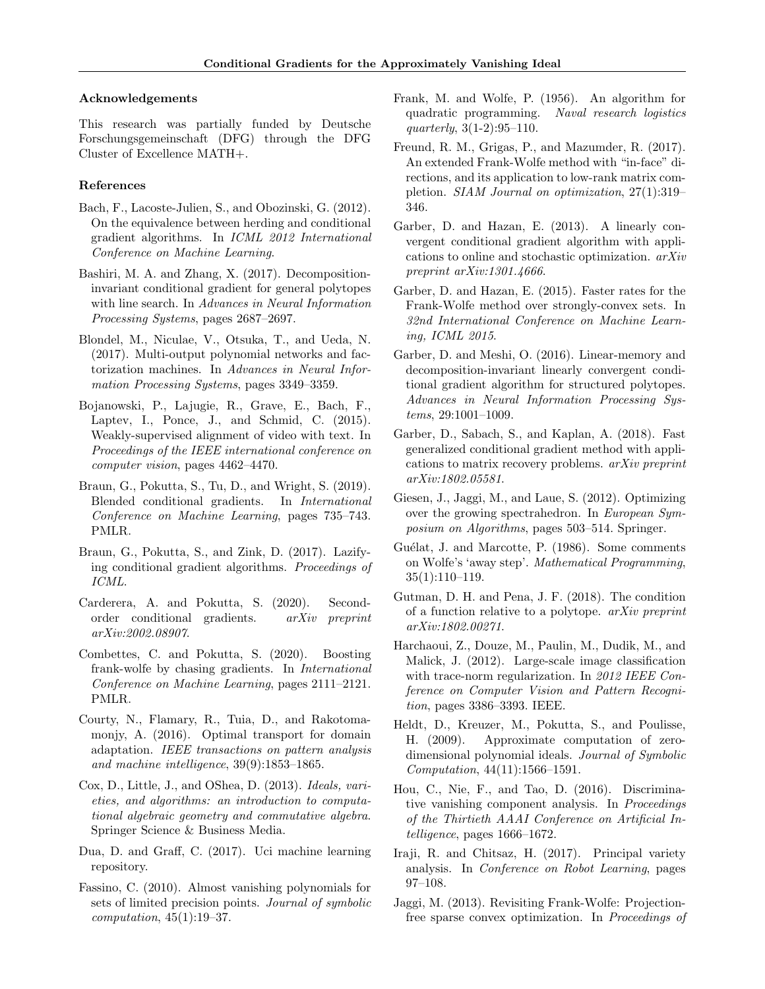### Acknowledgements

This research was partially funded by Deutsche Forschungsgemeinschaft (DFG) through the DFG Cluster of Excellence MATH+.

### References

- <span id="page-9-24"></span>Bach, F., Lacoste-Julien, S., and Obozinski, G. (2012). On the equivalence between herding and conditional gradient algorithms. In ICML 2012 International Conference on Machine Learning.
- <span id="page-9-15"></span>Bashiri, M. A. and Zhang, X. (2017). Decompositioninvariant conditional gradient for general polytopes with line search. In Advances in Neural Information Processing Systems, pages 2687–2697.
- <span id="page-9-23"></span>Blondel, M., Niculae, V., Otsuka, T., and Ueda, N. (2017). Multi-output polynomial networks and factorization machines. In Advances in Neural Information Processing Systems, pages 3349–3359.
- <span id="page-9-12"></span>Bojanowski, P., Lajugie, R., Grave, E., Bach, F., Laptev, I., Ponce, J., and Schmid, C.  $(2015)$ . Weakly-supervised alignment of video with text. In Proceedings of the IEEE international conference on computer vision, pages 4462–4470.
- <span id="page-9-16"></span>Braun, G., Pokutta, S., Tu, D., and Wright, S. (2019). Blended conditional gradients. In International Conference on Machine Learning, pages 735–743. PMLR.
- <span id="page-9-14"></span>Braun, G., Pokutta, S., and Zink, D. (2017). Lazifying conditional gradient algorithms. Proceedings of ICML.
- <span id="page-9-18"></span>Carderera, A. and Pokutta, S. (2020). Secondorder conditional gradients. arXiv preprint arXiv:2002.08907.
- <span id="page-9-17"></span>Combettes, C. and Pokutta, S. (2020). Boosting frank-wolfe by chasing gradients. In International Conference on Machine Learning, pages 2111–2121. PMLR.
- <span id="page-9-11"></span>Courty, N., Flamary, R., Tuia, D., and Rakotomamonjy, A. (2016). Optimal transport for domain adaptation. IEEE transactions on pattern analysis and machine intelligence, 39(9):1853–1865.
- <span id="page-9-0"></span>Cox, D., Little, J., and OShea, D. (2013). Ideals, varieties, and algorithms: an introduction to computational algebraic geometry and commutative algebra. Springer Science & Business Media.
- <span id="page-9-25"></span>Dua, D. and Graff, C. (2017). Uci machine learning repository.
- <span id="page-9-4"></span>Fassino, C. (2010). Almost vanishing polynomials for sets of limited precision points. Journal of symbolic  $computation, 45(1):19-37.$
- <span id="page-9-6"></span>Frank, M. and Wolfe, P. (1956). An algorithm for quadratic programming. Naval research logistics quarterly, 3(1-2):95–110.
- <span id="page-9-9"></span>Freund, R. M., Grigas, P., and Mazumder, R. (2017). An extended Frank-Wolfe method with "in-face" directions, and its application to low-rank matrix completion. SIAM Journal on optimization, 27(1):319– 346.
- <span id="page-9-19"></span>Garber, D. and Hazan, E. (2013). A linearly convergent conditional gradient algorithm with applications to online and stochastic optimization. arXiv preprint arXiv:1301.4666.
- <span id="page-9-20"></span>Garber, D. and Hazan, E. (2015). Faster rates for the Frank-Wolfe method over strongly-convex sets. In 32nd International Conference on Machine Learning, ICML 2015.
- <span id="page-9-13"></span>Garber, D. and Meshi, O. (2016). Linear-memory and decomposition-invariant linearly convergent conditional gradient algorithm for structured polytopes. Advances in Neural Information Processing Systems, 29:1001–1009.
- <span id="page-9-10"></span>Garber, D., Sabach, S., and Kaplan, A. (2018). Fast generalized conditional gradient method with applications to matrix recovery problems. arXiv preprint arXiv:1802.05581.
- <span id="page-9-7"></span>Giesen, J., Jaggi, M., and Laue, S. (2012). Optimizing over the growing spectrahedron. In European Symposium on Algorithms, pages 503–514. Springer.
- <span id="page-9-3"></span>Guélat, J. and Marcotte, P. (1986). Some comments on Wolfe's 'away step'. Mathematical Programming, 35(1):110–119.
- <span id="page-9-21"></span>Gutman, D. H. and Pena, J. F. (2018). The condition of a function relative to a polytope. arXiv preprint arXiv:1802.00271.
- <span id="page-9-8"></span>Harchaoui, Z., Douze, M., Paulin, M., Dudik, M., and Malick, J. (2012). Large-scale image classification with trace-norm regularization. In 2012 IEEE Conference on Computer Vision and Pattern Recognition, pages 3386–3393. IEEE.
- <span id="page-9-1"></span>Heldt, D., Kreuzer, M., Pokutta, S., and Poulisse, H. (2009). Approximate computation of zerodimensional polynomial ideals. Journal of Symbolic Computation, 44(11):1566–1591.
- <span id="page-9-5"></span>Hou, C., Nie, F., and Tao, D. (2016). Discriminative vanishing component analysis. In Proceedings of the Thirtieth AAAI Conference on Artificial Intelligence, pages 1666–1672.
- <span id="page-9-2"></span>Iraji, R. and Chitsaz, H. (2017). Principal variety analysis. In Conference on Robot Learning, pages 97–108.
- <span id="page-9-22"></span>Jaggi, M. (2013). Revisiting Frank-Wolfe: Projectionfree sparse convex optimization. In Proceedings of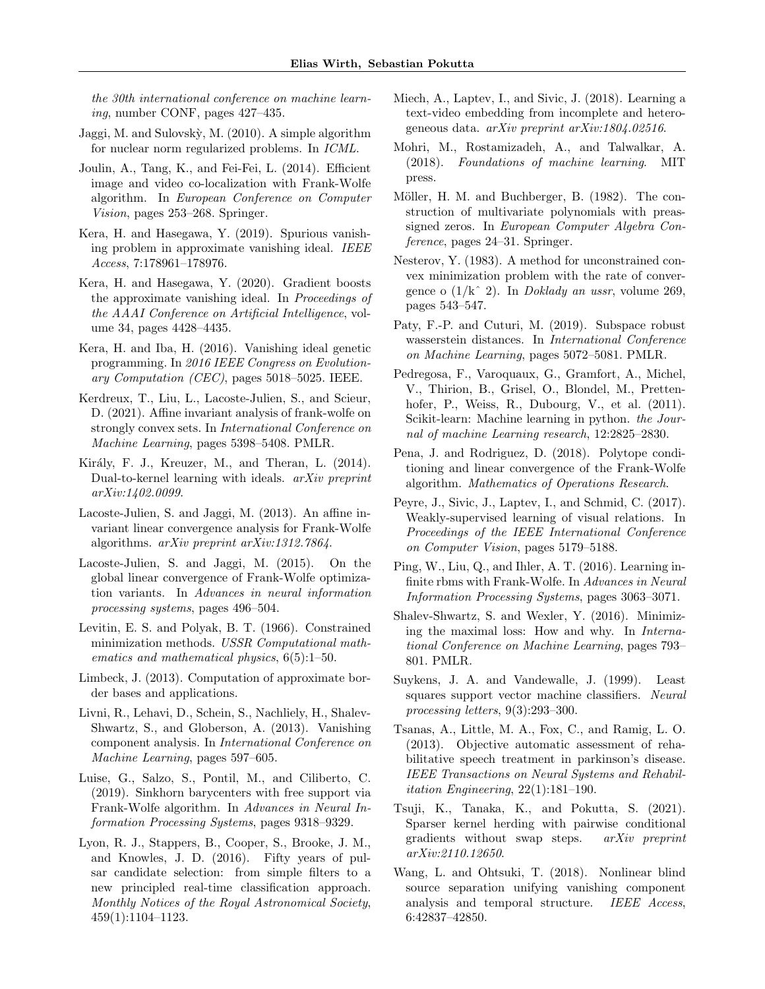the 30th international conference on machine learning, number CONF, pages 427–435.

- <span id="page-10-11"></span>Jaggi, M. and Sulovsk`y, M. (2010). A simple algorithm for nuclear norm regularized problems. In ICML.
- <span id="page-10-14"></span>Joulin, A., Tang, K., and Fei-Fei, L. (2014). Efficient image and video co-localization with Frank-Wolfe algorithm. In European Conference on Computer Vision, pages 253–268. Springer.
- <span id="page-10-8"></span>Kera, H. and Hasegawa, Y. (2019). Spurious vanishing problem in approximate vanishing ideal. IEEE Access, 7:178961–178976.
- <span id="page-10-9"></span>Kera, H. and Hasegawa, Y. (2020). Gradient boosts the approximate vanishing ideal. In Proceedings of the AAAI Conference on Artificial Intelligence, volume 34, pages 4428–4435.
- <span id="page-10-5"></span>Kera, H. and Iba, H. (2016). Vanishing ideal genetic programming. In 2016 IEEE Congress on Evolutionary Computation (CEC), pages 5018–5025. IEEE.
- <span id="page-10-19"></span>Kerdreux, T., Liu, L., Lacoste-Julien, S., and Scieur, D. (2021). Affine invariant analysis of frank-wolfe on strongly convex sets. In International Conference on Machine Learning, pages 5398–5408. PMLR.
- <span id="page-10-7"></span>Király, F. J., Kreuzer, M., and Theran, L. (2014). Dual-to-kernel learning with ideals. arXiv preprint arXiv:1402.0099.
- <span id="page-10-17"></span>Lacoste-Julien, S. and Jaggi, M. (2013). An affine invariant linear convergence analysis for Frank-Wolfe algorithms. arXiv preprint arXiv:1312.7864.
- <span id="page-10-3"></span>Lacoste-Julien, S. and Jaggi, M. (2015). On the global linear convergence of Frank-Wolfe optimization variants. In Advances in neural information processing systems, pages 496–504.
- <span id="page-10-10"></span>Levitin, E. S. and Polyak, B. T. (1966). Constrained minimization methods. USSR Computational mathematics and mathematical physics, 6(5):1–50.
- <span id="page-10-2"></span>Limbeck, J. (2013). Computation of approximate border bases and applications.
- <span id="page-10-1"></span>Livni, R., Lehavi, D., Schein, S., Nachliely, H., Shalev-Shwartz, S., and Globerson, A. (2013). Vanishing component analysis. In International Conference on Machine Learning, pages 597–605.
- <span id="page-10-13"></span>Luise, G., Salzo, S., Pontil, M., and Ciliberto, C. (2019). Sinkhorn barycenters with free support via Frank-Wolfe algorithm. In Advances in Neural Information Processing Systems, pages 9318–9329.
- <span id="page-10-23"></span>Lyon, R. J., Stappers, B., Cooper, S., Brooke, J. M., and Knowles, J. D. (2016). Fifty years of pulsar candidate selection: from simple filters to a new principled real-time classification approach. Monthly Notices of the Royal Astronomical Society, 459(1):1104–1123.
- <span id="page-10-16"></span>Miech, A., Laptev, I., and Sivic, J. (2018). Learning a text-video embedding from incomplete and heterogeneous data. arXiv preprint arXiv:1804.02516.
- <span id="page-10-21"></span>Mohri, M., Rostamizadeh, A., and Talwalkar, A. (2018). Foundations of machine learning. MIT press.
- <span id="page-10-4"></span>Möller, H. M. and Buchberger, B. (1982). The construction of multivariate polynomials with preassigned zeros. In European Computer Algebra Conference, pages 24–31. Springer.
- <span id="page-10-25"></span>Nesterov, Y. (1983). A method for unconstrained convex minimization problem with the rate of convergence o  $(1/k^2)$ . In *Doklady an ussr*, volume 269, pages 543–547.
- <span id="page-10-12"></span>Paty, F.-P. and Cuturi, M. (2019). Subspace robust wasserstein distances. In International Conference on Machine Learning, pages 5072–5081. PMLR.
- <span id="page-10-26"></span>Pedregosa, F., Varoquaux, G., Gramfort, A., Michel, V., Thirion, B., Grisel, O., Blondel, M., Prettenhofer, P., Weiss, R., Dubourg, V., et al. (2011). Scikit-learn: Machine learning in python. the Journal of machine Learning research, 12:2825–2830.
- <span id="page-10-18"></span>Pena, J. and Rodriguez, D. (2018). Polytope conditioning and linear convergence of the Frank-Wolfe algorithm. Mathematics of Operations Research.
- <span id="page-10-15"></span>Peyre, J., Sivic, J., Laptev, I., and Schmid, C. (2017). Weakly-supervised learning of visual relations. In Proceedings of the IEEE International Conference on Computer Vision, pages 5179–5188.
- <span id="page-10-20"></span>Ping, W., Liu, Q., and Ihler, A. T. (2016). Learning infinite rbms with Frank-Wolfe. In Advances in Neural Information Processing Systems, pages 3063–3071.
- <span id="page-10-22"></span>Shalev-Shwartz, S. and Wexler, Y. (2016). Minimizing the maximal loss: How and why. In International Conference on Machine Learning, pages 793– 801. PMLR.
- <span id="page-10-0"></span>Suykens, J. A. and Vandewalle, J. (1999). Least squares support vector machine classifiers. Neural processing letters, 9(3):293–300.
- <span id="page-10-24"></span>Tsanas, A., Little, M. A., Fox, C., and Ramig, L. O. (2013). Objective automatic assessment of rehabilitative speech treatment in parkinson's disease. IEEE Transactions on Neural Systems and Rehabilitation Engineering, 22(1):181–190.
- <span id="page-10-27"></span>Tsuji, K., Tanaka, K., and Pokutta, S. (2021). Sparser kernel herding with pairwise conditional gradients without swap steps. arXiv preprint arXiv:2110.12650.
- <span id="page-10-6"></span>Wang, L. and Ohtsuki, T. (2018). Nonlinear blind source separation unifying vanishing component analysis and temporal structure. IEEE Access, 6:42837–42850.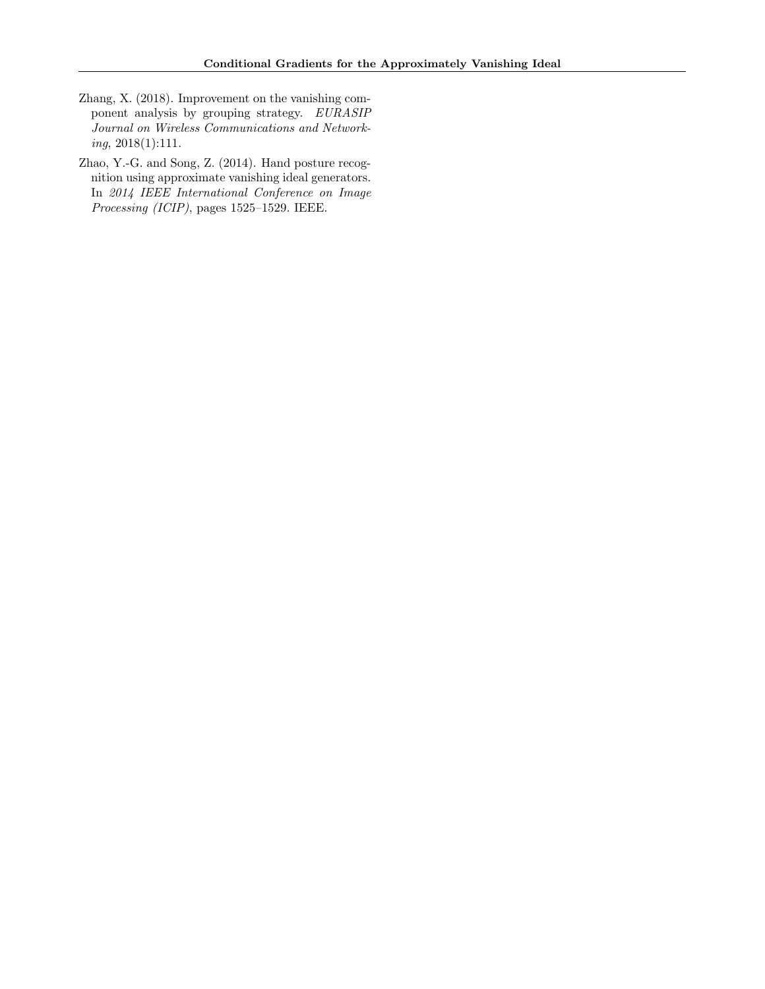- <span id="page-11-0"></span>Zhang, X. (2018). Improvement on the vanishing component analysis by grouping strategy. EURASIP Journal on Wireless Communications and Networking, 2018(1):111.
- <span id="page-11-1"></span>Zhao, Y.-G. and Song, Z. (2014). Hand posture recognition using approximate vanishing ideal generators. In 2014 IEEE International Conference on Image Processing (ICIP), pages 1525–1529. IEEE.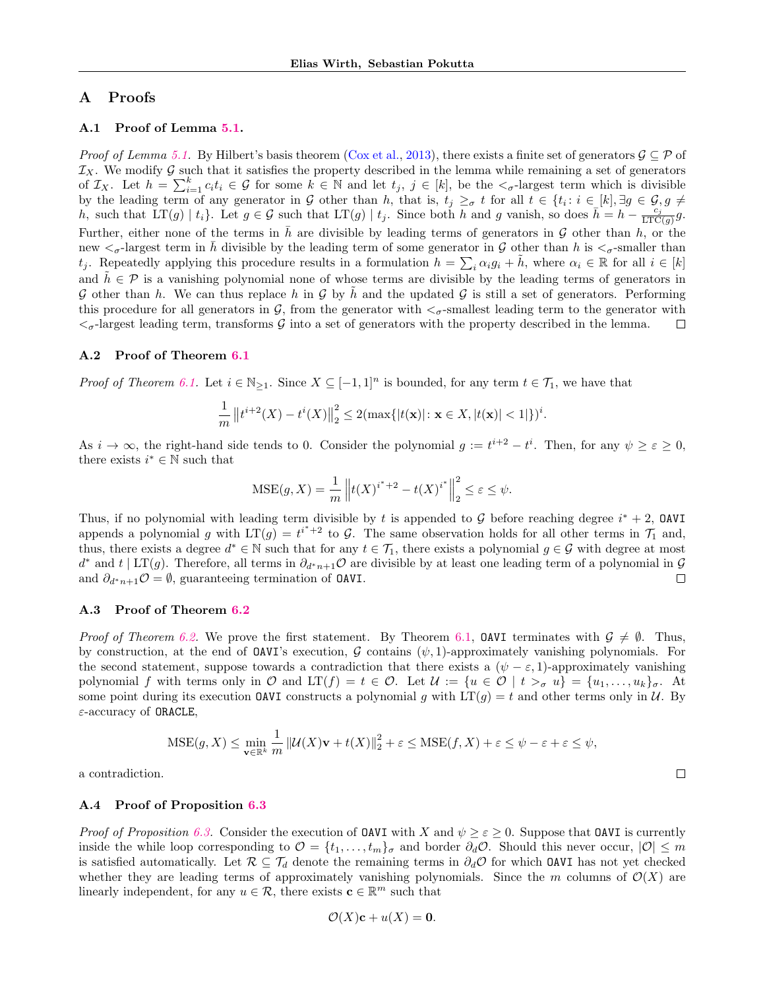# A Proofs

### A.1 Proof of Lemma [5.1.](#page-4-6)

*Proof of Lemma [5.1.](#page-4-6)* By Hilbert's basis theorem [\(Cox et al.,](#page-9-0) [2013\)](#page-9-0), there exists a finite set of generators  $\mathcal{G} \subseteq \mathcal{P}$  of  $\mathcal{I}_X$ . We modify G such that it satisfies the property described in the lemma while remaining a set of generators of  $\mathcal{I}_X$ . Let  $h = \sum_{i=1}^k c_i t_i \in \mathcal{G}$  for some  $k \in \mathbb{N}$  and let  $t_j$ ,  $j \in [k]$ , be the  $\lt_{\sigma}$ -largest term which is divisible by the leading term of any generator in G other than h, that is,  $t_j \geq_{\sigma} t$  for all  $t \in \{t_i : i \in [k], \exists g \in G, g \neq j\}$ h, such that  $LT(g) | t_i$ . Let  $g \in \mathcal{G}$  such that  $LT(g) | t_j$ . Since both h and g vanish, so does  $\bar{h} = h - \frac{c_j}{LTC(g)}g$ . Further, either none of the terms in  $\bar{h}$  are divisible by leading terms of generators in G other than h, or the new  $\langle \sigma$ -largest term in h divisible by the leading term of some generator in G other than h is  $\langle \sigma$ -smaller than  $t_j$ . Repeatedly applying this procedure results in a formulation  $h = \sum_i \alpha_i g_i + \tilde{h}$ , where  $\alpha_i \in \mathbb{R}$  for all  $i \in [k]$ and  $h \in \mathcal{P}$  is a vanishing polynomial none of whose terms are divisible by the leading terms of generators in G other than h. We can thus replace h in G by h and the updated G is still a set of generators. Performing this procedure for all generators in  $\mathcal{G}$ , from the generator with  $\lt_{\sigma}$ -smallest leading term to the generator with  $\lt_{\sigma}$ -largest leading term, transforms G into a set of generators with the property described in the lemma.  $\Box$ 

#### A.2 Proof of Theorem [6.1](#page-4-4)

*Proof of Theorem [6.1.](#page-4-4)* Let  $i \in \mathbb{N}_{\geq 1}$ . Since  $X \subseteq [-1,1]^n$  is bounded, for any term  $t \in \mathcal{T}_1$ , we have that

$$
\frac{1}{m} ||t^{i+2}(X) - t^i(X)||_2^2 \leq 2(\max\{|t(\mathbf{x})| : \mathbf{x} \in X, |t(\mathbf{x})| < 1|\})^i.
$$

As  $i \to \infty$ , the right-hand side tends to 0. Consider the polynomial  $g := t^{i+2} - t^i$ . Then, for any  $\psi \geq \varepsilon \geq 0$ , there exists  $i^* \in \mathbb{N}$  such that

$$
\text{MSE}(g, X) = \frac{1}{m} \left\| t(X)^{i^* + 2} - t(X)^{i^*} \right\|_2^2 \le \varepsilon \le \psi.
$$

Thus, if no polynomial with leading term divisible by t is appended to G before reaching degree  $i^* + 2$ , OAVI appends a polynomial g with  $LT(g) = t^{i^*+2}$  to G. The same observation holds for all other terms in  $\mathcal{T}_1$  and, thus, there exists a degree  $d^* \in \mathbb{N}$  such that for any  $t \in \mathcal{T}_1$ , there exists a polynomial  $g \in \mathcal{G}$  with degree at most  $d^*$  and  $t \mid LT(g)$ . Therefore, all terms in  $\partial_{d^*n+1} \mathcal{O}$  are divisible by at least one leading term of a polynomial in  $\mathcal{G}$ and  $\partial_{d^*n+1}\mathcal{O}=\emptyset$ , guaranteeing termination of **OAVI**.  $\Box$ 

# A.3 Proof of Theorem [6.2](#page-4-1)

*Proof of Theorem [6.2.](#page-4-1)* We prove the first statement. By Theorem [6.1,](#page-4-4) **OAVI** terminates with  $G \neq \emptyset$ . Thus, by construction, at the end of **OAVI**'s execution, G contains ( $\psi$ , 1)-approximately vanishing polynomials. For the second statement, suppose towards a contradiction that there exists a  $(\psi - \varepsilon, 1)$ -approximately vanishing polynomial f with terms only in O and  $LT(f) = t \in \mathcal{O}$ . Let  $\mathcal{U} := \{u \in \mathcal{O} \mid t >_{\sigma} u\} = \{u_1, \ldots, u_k\}_{\sigma}$ . At some point during its execution **OAVI** constructs a polynomial g with  $LT(g) = t$  and other terms only in U. By  $\varepsilon$ -accuracy of **ORACLE**,

$$
\text{MSE}(g, X) \le \min_{\mathbf{v} \in \mathbb{R}^k} \frac{1}{m} \left\| \mathcal{U}(X)\mathbf{v} + t(X) \right\|_2^2 + \varepsilon \le \text{MSE}(f, X) + \varepsilon \le \psi - \varepsilon + \varepsilon \le \psi,
$$

 $\Box$ 

a contradiction.

### A.4 Proof of Proposition [6.3](#page-5-0)

*Proof of Proposition [6.3.](#page-5-0)* Consider the execution of **OAVI** with X and  $\psi \geq \varepsilon \geq 0$ . Suppose that **OAVI** is currently inside the while loop corresponding to  $\mathcal{O} = \{t_1, \ldots, t_m\}_{\sigma}$  and border  $\partial_d \mathcal{O}$ . Should this never occur,  $|\mathcal{O}| \leq m$ is satisfied automatically. Let  $\mathcal{R} \subseteq \mathcal{T}_d$  denote the remaining terms in  $\partial_d\mathcal{O}$  for which **OAVI** has not yet checked whether they are leading terms of approximately vanishing polynomials. Since the m columns of  $\mathcal{O}(X)$  are linearly independent, for any  $u \in \mathcal{R}$ , there exists  $\mathbf{c} \in \mathbb{R}^m$  such that

$$
\mathcal{O}(X)\mathbf{c} + u(X) = \mathbf{0}.
$$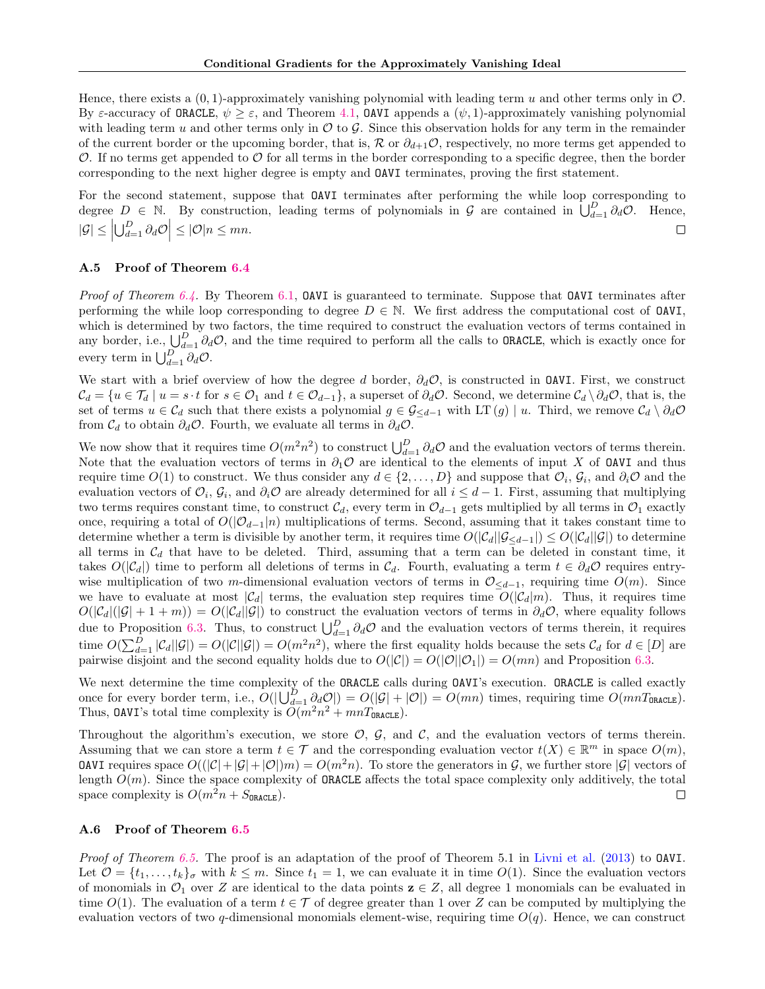Hence, there exists a  $(0, 1)$ -approximately vanishing polynomial with leading term u and other terms only in  $\mathcal{O}$ . By  $\varepsilon$ -accuracy of **ORACLE**,  $\psi \geq \varepsilon$ , and Theorem [4.1,](#page-3-2) **OAVI** appends a  $(\psi, 1)$ -approximately vanishing polynomial with leading term u and other terms only in  $\mathcal O$  to  $\mathcal G$ . Since this observation holds for any term in the remainder of the current border or the upcoming border, that is,  $\mathcal R$  or  $\partial_{d+1}\mathcal O$ , respectively, no more terms get appended to  $\mathcal O$ . If no terms get appended to  $\mathcal O$  for all terms in the border corresponding to a specific degree, then the border corresponding to the next higher degree is empty and OAVI terminates, proving the first statement.

For the second statement, suppose that OAVI terminates after performing the while loop corresponding to degree  $D \in \mathbb{N}$ . By construction, leading terms of polynomials in G are contained in  $\bigcup_{d=1}^D \partial_d \mathcal{O}$ . Hence,  $|\mathcal{G}| \leq \left| \bigcup_{d=1}^D \partial_d \mathcal{O} \right| \leq |\mathcal{O}|n \leq mn.$  $\Box$ 

# A.5 Proof of Theorem [6.4](#page-5-3)

*Proof of Theorem [6.4.](#page-5-3)* By Theorem [6.1,](#page-4-4) OAVI is guaranteed to terminate. Suppose that OAVI terminates after performing the while loop corresponding to degree  $D \in \mathbb{N}$ . We first address the computational cost of **OAVI**, which is determined by two factors, the time required to construct the evaluation vectors of terms contained in any border, i.e.,  $\bigcup_{d=1}^D \partial_d \mathcal{O}$ , and the time required to perform all the calls to ORACLE, which is exactly once for every term in  $\bigcup_{d=1}^D \partial_d \mathcal{O}$ .

We start with a brief overview of how the degree d border,  $\partial_d \mathcal{O}$ , is constructed in **OAVI**. First, we construct  $\mathcal{C}_d = \{u \in \mathcal{T}_d \mid u = s \cdot t \text{ for } s \in \mathcal{O}_1 \text{ and } t \in \mathcal{O}_{d-1}\}\$ , a superset of  $\partial_d \mathcal{O}$ . Second, we determine  $\mathcal{C}_d \setminus \partial_d \mathcal{O}$ , that is, the set of terms  $u \in \mathcal{C}_d$  such that there exists a polynomial  $g \in \mathcal{G}_{\leq d-1}$  with LT  $(g) \mid u$ . Third, we remove  $\mathcal{C}_d \setminus \partial_d \mathcal{O}$ from  $\mathcal{C}_d$  to obtain  $\partial_d \mathcal{O}$ . Fourth, we evaluate all terms in  $\partial_d \mathcal{O}$ .

We now show that it requires time  $O(m^2n^2)$  to construct  $\bigcup_{d=1}^D \partial_d \mathcal{O}$  and the evaluation vectors of terms therein. Note that the evaluation vectors of terms in  $\partial_1 \mathcal{O}$  are identical to the elements of input X of OAVI and thus require time  $O(1)$  to construct. We thus consider any  $d \in \{2, \ldots, D\}$  and suppose that  $\mathcal{O}_i$ ,  $\mathcal{G}_i$ , and  $\partial_i \mathcal{O}$  and the evaluation vectors of  $\mathcal{O}_i$ ,  $\mathcal{G}_i$ , and  $\partial_i \mathcal{O}$  are already determined for all  $i \leq d-1$ . First, assuming that multiplying two terms requires constant time, to construct  $\mathcal{C}_d$ , every term in  $\mathcal{O}_{d-1}$  gets multiplied by all terms in  $\mathcal{O}_1$  exactly once, requiring a total of  $O(|\mathcal{O}_{d-1}|n)$  multiplications of terms. Second, assuming that it takes constant time to determine whether a term is divisible by another term, it requires time  $O(|\mathcal{C}_d||\mathcal{G}_{\leq d-1}|) \leq O(|\mathcal{C}_d||\mathcal{G}|)$  to determine all terms in  $\mathcal{C}_d$  that have to be deleted. Third, assuming that a term can be deleted in constant time, it takes  $O(|\mathcal{C}_d|)$  time to perform all deletions of terms in  $\mathcal{C}_d$ . Fourth, evaluating a term  $t \in \partial_d \mathcal{O}$  requires entrywise multiplication of two m-dimensional evaluation vectors of terms in  $\mathcal{O}_{\leq d-1}$ , requiring time  $O(m)$ . Since we have to evaluate at most  $|\mathcal{C}_d|$  terms, the evaluation step requires time  $O(|\mathcal{C}_d|m)$ . Thus, it requires time  $O(|\mathcal{C}_d|(|\mathcal{G}| + 1 + m)) = O(|\mathcal{C}_d||\mathcal{G}|)$  to construct the evaluation vectors of terms in  $\partial_d \mathcal{O}$ , where equality follows due to Proposition [6.3.](#page-5-0) Thus, to construct  $\bigcup_{d=1}^D \partial_d \mathcal{O}$  and the evaluation vectors of terms therein, it requires time  $O(\sum_{d=1}^D |\mathcal{C}_d||\mathcal{G}|) = O(|\mathcal{C}||\mathcal{G}|) = O(m^2n^2)$ , where the first equality holds because the sets  $\mathcal{C}_d$  for  $d \in [D]$  are pairwise disjoint and the second equality holds due to  $O(|\mathcal{C}|) = O(|\mathcal{O}||\mathcal{O}_1|) = O(mn)$  and Proposition [6.3.](#page-5-0)

We next determine the time complexity of the ORACLE calls during  $0AVI$ 's execution. ORACLE is called exactly once for every border term, i.e.,  $O(|\bigcup_{d=1}^{D} \partial_d \mathcal{O}|) = O(|\mathcal{G}| + |\mathcal{O}|) = O(mn)$  times, requiring time  $O(mnT_{\text{ORACLE}})$ . Thus, OAVI's total time complexity is  $\tilde{O}(m^2n^2 + mnT_{\texttt{ORACLE}})$ .

Throughout the algorithm's execution, we store  $\mathcal{O}, \mathcal{G},$  and  $\mathcal{C}$ , and the evaluation vectors of terms therein. Assuming that we can store a term  $t \in \mathcal{T}$  and the corresponding evaluation vector  $t(X) \in \mathbb{R}^m$  in space  $O(m)$ , **OAVI** requires space  $O((|\mathcal{C}|+|\mathcal{G}|+|\mathcal{O}|)m) = O(m^2n)$ . To store the generators in  $\mathcal{G}$ , we further store  $|\mathcal{G}|$  vectors of length  $O(m)$ . Since the space complexity of **ORACLE** affects the total space complexity only additively, the total space complexity is  $O(m^2n + S_{\texttt{ORACLE}})$ .  $\Box$ 

### A.6 Proof of Theorem [6.5](#page-5-4)

Proof of Theorem [6.5.](#page-5-4) The proof is an adaptation of the proof of Theorem 5.1 in [Livni et al.](#page-10-1) [\(2013\)](#page-10-1) to DAVI. Let  $\mathcal{O} = \{t_1, \ldots, t_k\}$  with  $k \leq m$ . Since  $t_1 = 1$ , we can evaluate it in time  $O(1)$ . Since the evaluation vectors of monomials in  $\mathcal{O}_1$  over Z are identical to the data points  $z \in Z$ , all degree 1 monomials can be evaluated in time  $O(1)$ . The evaluation of a term  $t \in \mathcal{T}$  of degree greater than 1 over Z can be computed by multiplying the evaluation vectors of two q-dimensional monomials element-wise, requiring time  $O(q)$ . Hence, we can construct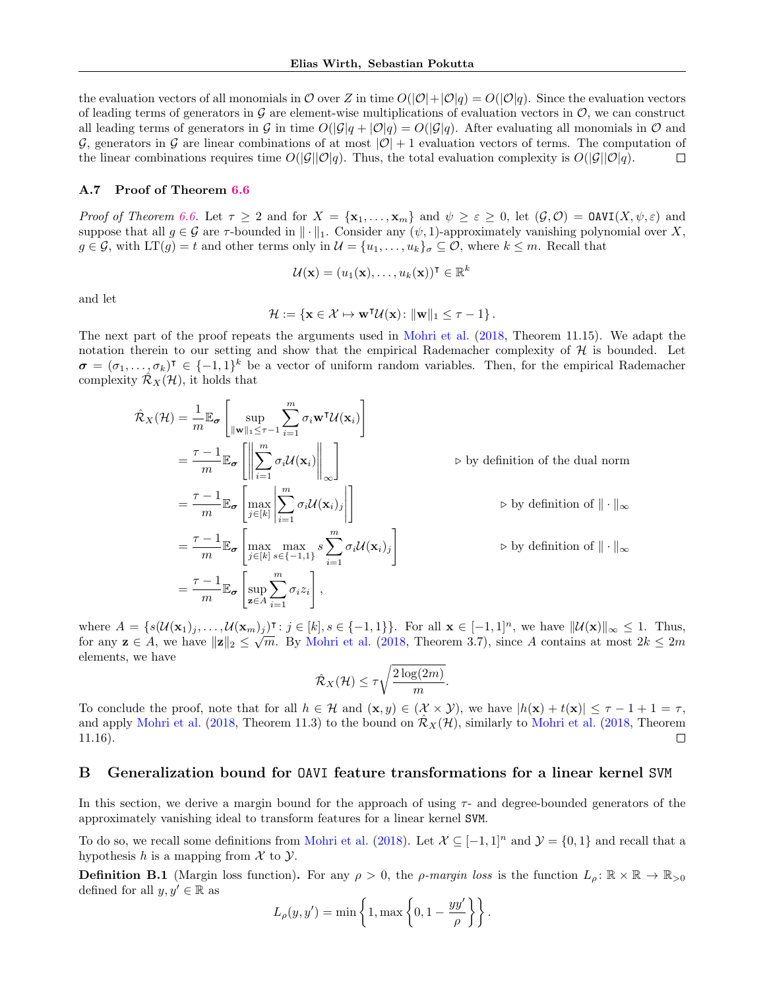the evaluation vectors of all monomials in O over Z in time  $O(|\mathcal{O}|+|\mathcal{O}|q) = O(|\mathcal{O}|q)$ . Since the evaluation vectors of leading terms of generators in  $\mathcal G$  are element-wise multiplications of evaluation vectors in  $\mathcal O$ , we can construct all leading terms of generators in G in time  $O(|\mathcal{G}|q + |\mathcal{O}|q) = O(|\mathcal{G}|q)$ . After evaluating all monomials in  $\mathcal O$  and G, generators in G are linear combinations of at most  $|O| + 1$  evaluation vectors of terms. The computation of the linear combinations requires time  $O(|\mathcal{G}||\mathcal{O}|q)$ . Thus, the total evaluation complexity is  $O(|\mathcal{G}||\mathcal{O}|q)$ .  $\Box$ 

#### A.7 Proof of Theorem [6.6](#page-5-2)

Proof of Theorem [6.6.](#page-5-2) Let  $\tau \geq 2$  and for  $X = {\mathbf{x}_1, \ldots, \mathbf{x}_m}$  and  $\psi \geq \varepsilon \geq 0$ , let  $(\mathcal{G}, \mathcal{O}) = \text{OAVI}(X, \psi, \varepsilon)$  and suppose that all  $g \in \mathcal{G}$  are  $\tau$ -bounded in  $\|\cdot\|_1$ . Consider any  $(\psi, 1)$ -approximately vanishing polynomial over X,  $g \in \mathcal{G}$ , with  $LT(g) = t$  and other terms only in  $\mathcal{U} = \{u_1, \ldots, u_k\}_{\sigma} \subseteq \mathcal{O}$ , where  $k \leq m$ . Recall that

$$
\mathcal{U}(\mathbf{x}) = (u_1(\mathbf{x}), \dots, u_k(\mathbf{x}))^\intercal \in \mathbb{R}^k
$$

and let

$$
\mathcal{H} := \{ \mathbf{x} \in \mathcal{X} \mapsto \mathbf{w}^\mathsf{T} \mathcal{U}(\mathbf{x}) : \|\mathbf{w}\|_1 \leq \tau - 1 \}.
$$

The next part of the proof repeats the arguments used in [Mohri et al.](#page-10-21) [\(2018,](#page-10-21) Theorem 11.15). We adapt the notation therein to our setting and show that the empirical Rademacher complexity of  $\mathcal H$  is bounded. Let  $\sigma = (\sigma_1, \ldots, \sigma_k)^\intercal \in \{-1, 1\}^k$  be a vector of uniform random variables. Then, for the empirical Rademacher complexity  $\mathcal{R}_X(\mathcal{H})$ , it holds that

$$
\hat{\mathcal{R}}_{X}(\mathcal{H}) = \frac{1}{m} \mathbb{E}_{\sigma} \left[ \sup_{\|\mathbf{w}\|_{1} \leq \tau-1} \sum_{i=1}^{m} \sigma_{i} \mathbf{w}^{\mathsf{T}} \mathcal{U}(\mathbf{x}_{i}) \right]
$$
\n
$$
= \frac{\tau-1}{m} \mathbb{E}_{\sigma} \left[ \left\| \sum_{i=1}^{m} \sigma_{i} \mathcal{U}(\mathbf{x}_{i}) \right\|_{\infty} \right] \qquad \qquad \triangleright \text{ by definition of the dual norm}
$$
\n
$$
= \frac{\tau-1}{m} \mathbb{E}_{\sigma} \left[ \max_{j \in [k]} \left| \sum_{i=1}^{m} \sigma_{i} \mathcal{U}(\mathbf{x}_{i})_{j} \right| \right] \qquad \qquad \triangleright \text{ by definition of } \|\cdot\|_{\infty}
$$
\n
$$
= \frac{\tau-1}{m} \mathbb{E}_{\sigma} \left[ \max_{j \in [k]} \max_{s \in \{-1,1\}} s \sum_{i=1}^{m} \sigma_{i} \mathcal{U}(\mathbf{x}_{i})_{j} \right] \qquad \qquad \triangleright \text{ by definition of } \|\cdot\|_{\infty}
$$
\n
$$
= \frac{\tau-1}{m} \mathbb{E}_{\sigma} \left[ \sup_{\mathbf{z} \in A} \sum_{i=1}^{m} \sigma_{i} z_{i} \right],
$$

where  $A = \{s(\mathcal{U}(\mathbf{x}_1), \dots, \mathcal{U}(\mathbf{x}_m))\} : j \in [k], s \in \{-1, 1\} \}$ . For all  $\mathbf{x} \in [-1, 1]^n$ , we have  $\|\mathcal{U}(\mathbf{x})\|_{\infty} \leq 1$ . Thus, for any  $z \in A$ , we have  $||z||_2 \leq \sqrt{m}$ . By [Mohri et al.](#page-10-21) [\(2018,](#page-10-21) Theorem 3.7), since A contains at most  $2k \leq 2m$ elements, we have

$$
\hat{\mathcal{R}}_X(\mathcal{H}) \le \tau \sqrt{\frac{2\log(2m)}{m}}.
$$

To conclude the proof, note that for all  $h \in \mathcal{H}$  and  $(\mathbf{x}, y) \in (\mathcal{X} \times \mathcal{Y})$ , we have  $|h(\mathbf{x}) + t(\mathbf{x})| \leq \tau - 1 + 1 = \tau$ , and apply [Mohri et al.](#page-10-21) [\(2018,](#page-10-21) Theorem 11.3) to the bound on  $\mathcal{R}_X(\mathcal{H})$ , similarly to Mohri et al. (2018, Theorem 11.16).  $\Box$ 

### <span id="page-14-0"></span>B Generalization bound for OAVI feature transformations for a linear kernel SVM

In this section, we derive a margin bound for the approach of using  $\tau$ - and degree-bounded generators of the approximately vanishing ideal to transform features for a linear kernel SVM.

To do so, we recall some definitions from [Mohri et al.](#page-10-21) [\(2018\)](#page-10-21). Let  $\mathcal{X} \subseteq [-1,1]^n$  and  $\mathcal{Y} = \{0,1\}$  and recall that a hypothesis h is a mapping from  $\mathcal X$  to  $\mathcal Y$ .

**Definition B.1** (Margin loss function). For any  $\rho > 0$ , the *ρ-margin loss* is the function  $L_{\rho} : \mathbb{R} \times \mathbb{R} \to \mathbb{R}_{>0}$ defined for all  $y, y' \in \mathbb{R}$  as

$$
L_{\rho}(y, y') = \min \left\{ 1, \max \left\{ 0, 1 - \frac{yy'}{\rho} \right\} \right\}.
$$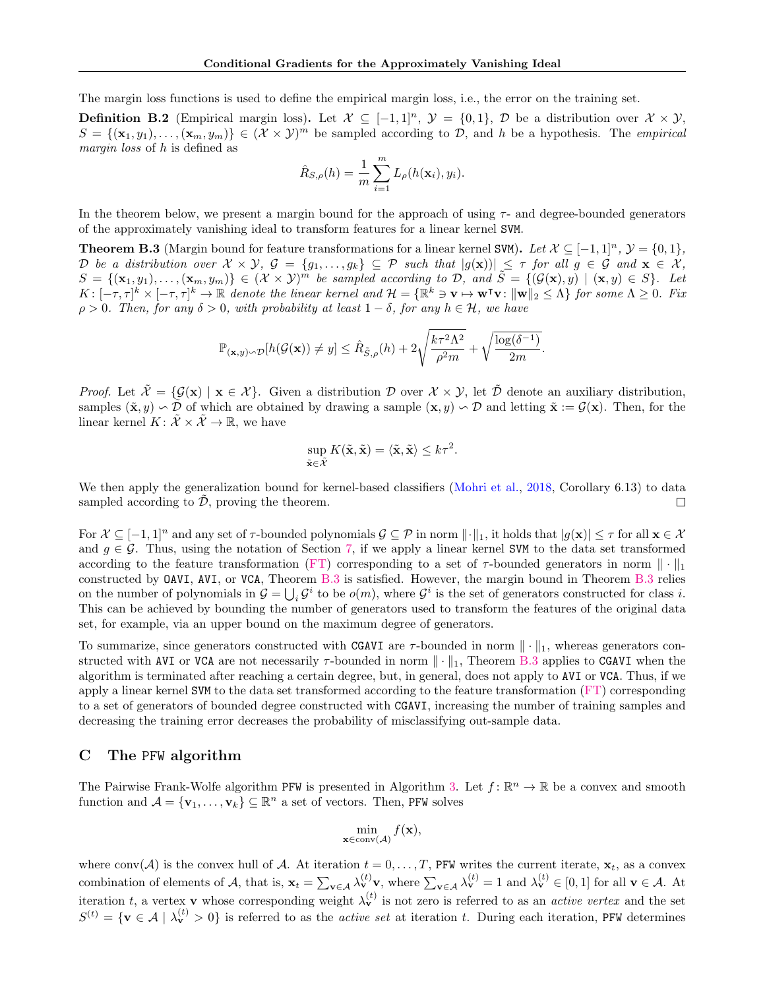The margin loss functions is used to define the empirical margin loss, i.e., the error on the training set.

**Definition B.2** (Empirical margin loss). Let  $\mathcal{X} \subseteq [-1,1]^n$ ,  $\mathcal{Y} = \{0,1\}$ ,  $\mathcal{D}$  be a distribution over  $\mathcal{X} \times \mathcal{Y}$ ,  $S = \{(\mathbf{x}_1, y_1), \ldots, (\mathbf{x}_m, y_m)\} \in (\mathcal{X} \times \mathcal{Y})^m$  be sampled according to  $\mathcal{D}$ , and h be a hypothesis. The *empirical* margin loss of h is defined as

$$
\hat{R}_{S,\rho}(h) = \frac{1}{m} \sum_{i=1}^{m} L_{\rho}(h(\mathbf{x}_i), y_i).
$$

In the theorem below, we present a margin bound for the approach of using  $\tau$ - and degree-bounded generators of the approximately vanishing ideal to transform features for a linear kernel SVM.

<span id="page-15-0"></span>**Theorem B.3** (Margin bound for feature transformations for a linear kernel SVM). Let  $\mathcal{X} \subseteq [-1,1]^n$ ,  $\mathcal{Y} = \{0,1\}$ , D be a distribution over  $X \times Y$ ,  $\mathcal{G} = \{g_1, \ldots, g_k\} \subseteq \mathcal{P}$  such that  $|g(\mathbf{x})| \leq \tau$  for all  $g \in \mathcal{G}$  and  $\mathbf{x} \in \mathcal{X}$ ,  $S = \{(\mathbf{x}_1, y_1), \ldots, (\mathbf{x}_m, y_m)\} \in (\mathcal{X} \times \mathcal{Y})^m$  be sampled according to  $\mathcal{D}$ , and  $\tilde{S} = \{(\mathcal{G}(\mathbf{x}), y) \mid (\mathbf{x}, y) \in S\}$ . Let  $K: [-\tau, \tau]^k \times [-\tau, \tau]^k \to \mathbb{R}$  denote the linear kernel and  $\mathcal{H} = {\mathbb{R}}^k \ni \mathbf{v} \mapsto \mathbf{w}^\intercal \mathbf{v} : \|\mathbf{w}\|_2 \leq \Lambda$  for some  $\Lambda \geq 0$ . Fix  $\rho > 0$ . Then, for any  $\delta > 0$ , with probability at least  $1 - \delta$ , for any  $h \in \mathcal{H}$ , we have

$$
\mathbb{P}_{(\mathbf{x},y)\sim\mathcal{D}}[h(\mathcal{G}(\mathbf{x}))\neq y] \leq \hat{R}_{\tilde{S},\rho}(h) + 2\sqrt{\frac{k\tau^2\Lambda^2}{\rho^2m}} + \sqrt{\frac{\log(\delta^{-1})}{2m}}.
$$

*Proof.* Let  $\tilde{\mathcal{X}} = {\mathcal{G}(\mathbf{x}) \mid \mathbf{x} \in \mathcal{X}}$ . Given a distribution D over  $\mathcal{X} \times \mathcal{Y}$ , let  $\tilde{\mathcal{D}}$  denote an auxiliary distribution, samples  $(\tilde{\mathbf{x}}, y) \setminus \tilde{\mathcal{D}}$  of which are obtained by drawing a sample  $(\mathbf{x}, y) \setminus \tilde{\mathcal{D}}$  and letting  $\tilde{\mathbf{x}} := \mathcal{G}(\mathbf{x})$ . Then, for the linear kernel  $K: \tilde{X} \times \tilde{X} \to \mathbb{R}$ , we have

$$
\sup_{\tilde{\mathbf{x}} \in \tilde{\mathcal{X}}} K(\tilde{\mathbf{x}}, \tilde{\mathbf{x}}) = \langle \tilde{\mathbf{x}}, \tilde{\mathbf{x}} \rangle \leq k\tau^2.
$$

We then apply the generalization bound for kernel-based classifiers [\(Mohri et al.,](#page-10-21) [2018,](#page-10-21) Corollary 6.13) to data sampled according to  $D$ , proving the theorem. П

For  $\mathcal{X} \subseteq [-1,1]^n$  and any set of  $\tau$ -bounded polynomials  $\mathcal{G} \subseteq \mathcal{P}$  in norm  $\|\cdot\|_1$ , it holds that  $|g(\mathbf{x})| \leq \tau$  for all  $\mathbf{x} \in \mathcal{X}$ and  $g \in \mathcal{G}$ . Thus, using the notation of Section [7,](#page-6-0) if we apply a linear kernel SVM to the data set transformed according to the feature transformation [\(FT\)](#page-6-3) corresponding to a set of  $\tau$ -bounded generators in norm  $\|\cdot\|_1$ constructed by OAVI, AVI, or VCA, Theorem [B.3](#page-15-0) is satisfied. However, the margin bound in Theorem [B.3](#page-15-0) relies on the number of polynomials in  $\mathcal{G} = \bigcup_i \mathcal{G}^i$  to be  $o(m)$ , where  $\mathcal{G}^i$  is the set of generators constructed for class i. This can be achieved by bounding the number of generators used to transform the features of the original data set, for example, via an upper bound on the maximum degree of generators.

To summarize, since generators constructed with CGAVI are  $\tau$ -bounded in norm  $\|\cdot\|_1$ , whereas generators constructed with AVI or VCA are not necessarily  $\tau$ -bounded in norm  $\|\cdot\|_1$ , Theorem [B.3](#page-15-0) applies to CGAVI when the algorithm is terminated after reaching a certain degree, but, in general, does not apply to AVI or VCA. Thus, if we apply a linear kernel SVM to the data set transformed according to the feature transformation [\(FT\)](#page-6-3) corresponding to a set of generators of bounded degree constructed with CGAVI, increasing the number of training samples and decreasing the training error decreases the probability of misclassifying out-sample data.

# <span id="page-15-1"></span>C The PFW algorithm

The Pairwise Frank-Wolfe algorithm PFW is presented in Algorithm [3.](#page-16-0) Let  $f: \mathbb{R}^n \to \mathbb{R}$  be a convex and smooth function and  $\mathcal{A} = {\mathbf{v}_1, ..., \mathbf{v}_k} \subseteq \mathbb{R}^n$  a set of vectors. Then, PFW solves

$$
\min_{\mathbf{x} \in \operatorname{conv}(\mathcal{A})} f(\mathbf{x}),
$$

where conv(A) is the convex hull of A. At iteration  $t = 0, \ldots, T$ , PFW writes the current iterate,  $\mathbf{x}_t$ , as a convex combination of elements of A, that is,  $\mathbf{x}_t = \sum_{\mathbf{v} \in A} \lambda_{\mathbf{v}}^{(t)} \mathbf{v}$ , where  $\sum_{\mathbf{v} \in A} \lambda_{\mathbf{v}}^{(t)} = 1$  and  $\lambda_{\mathbf{v}}^{(t)} \in [0,1]$  for all  $\mathbf{v} \in A$ . At iteration t, a vertex **v** whose corresponding weight  $\lambda_v^{(t)}$  is not zero is referred to as an *active vertex* and the set  $S^{(t)} = \{v \in \mathcal{A} \mid \lambda_v^{(t)} > 0\}$  is referred to as the *active set* at iteration t. During each iteration, PFW determines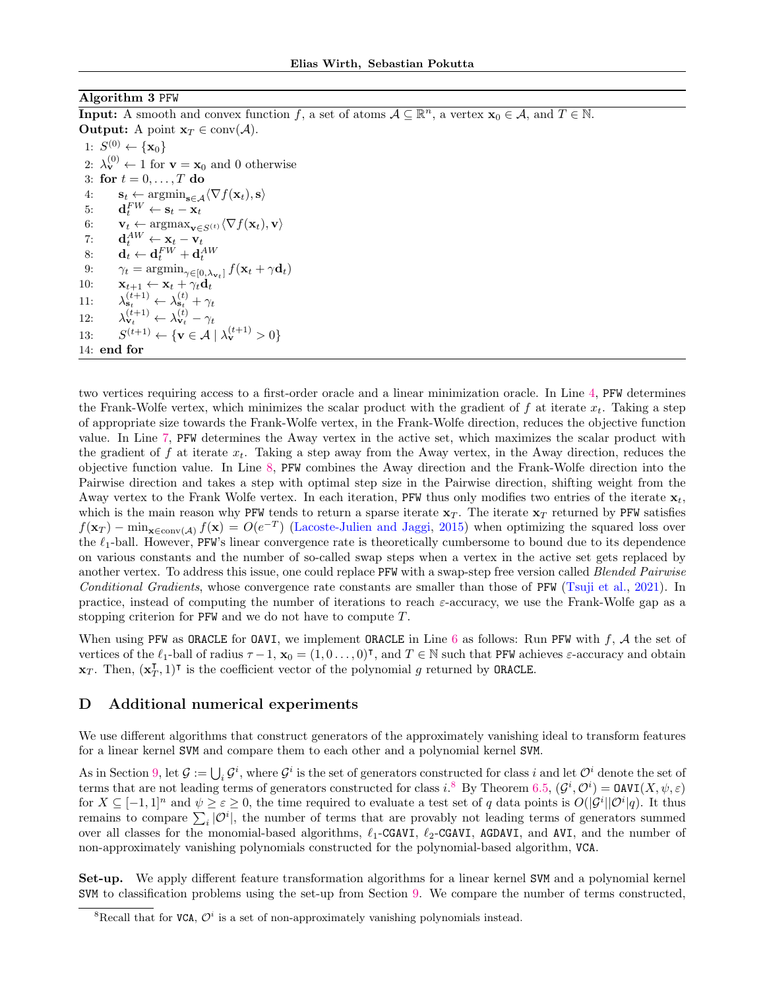### <span id="page-16-0"></span>Algorithm 3 PFW

**Input:** A smooth and convex function f, a set of atoms  $A \subseteq \mathbb{R}^n$ , a vertex  $\mathbf{x}_0 \in A$ , and  $T \in \mathbb{N}$ . **Output:** A point  $\mathbf{x}_T \in \text{conv}(\mathcal{A})$ . 1:  $S^{(0)} \leftarrow {\mathbf{x}_0}$ 2:  $\lambda_{\mathbf{v}}^{(0)} \leftarrow 1$  for  $\mathbf{v} = \mathbf{x}_0$  and 0 otherwise 3: for  $t = 0, \ldots, T$  do 4:  $\mathbf{s}_t \leftarrow \operatorname{argmin}_{\mathbf{s} \in \mathcal{A}} \langle \nabla f(\mathbf{x}_t), \mathbf{s} \rangle$ 5:  $\mathbf{d}_t^{FW} \leftarrow \mathbf{s}_t - \mathbf{x}_t$ 6:  $\mathbf{v}_t \leftarrow \arg \max_{\mathbf{v} \in S^{(t)}} \langle \nabla f(\mathbf{x}_t), \mathbf{v} \rangle$ 7:  $\mathbf{d}_t^{AW} \leftarrow \mathbf{x}_t - \mathbf{v}_t$ 8:  $\mathbf{d}_t \leftarrow \mathbf{d}_t^{FW} + \mathbf{d}_t^{AW}$ 9:  $\gamma_t = \operatorname{argmin}_{\gamma \in [0, \lambda_{\mathbf{v}_t}]} f(\mathbf{x}_t + \gamma \mathbf{d}_t)$ 10:  $\mathbf{x}_{t+1} \leftarrow \mathbf{x}_t + \gamma_t \mathbf{d}_t$ <br>
11:  $\lambda_{\mathbf{s}_t}^{(t+1)} \leftarrow \lambda_{\mathbf{s}_t}^{(t)} + \gamma_t$ <br>
12:  $\lambda_{\mathbf{v}_t}^{(t+1)} \leftarrow \lambda_{\mathbf{v}_t}^{(t)} - \gamma_t$ 11: 12:  $13:$  $(t+1) \leftarrow {\mathbf{v} \in \mathcal{A} \mid \lambda_{\mathbf{v}}^{(t+1)} > 0}$ 14: end for

two vertices requiring access to a first-order oracle and a linear minimization oracle. In Line [4,](#page-16-0) PFW determines the Frank-Wolfe vertex, which minimizes the scalar product with the gradient of f at iterate  $x_t$ . Taking a step of appropriate size towards the Frank-Wolfe vertex, in the Frank-Wolfe direction, reduces the objective function value. In Line [7,](#page-16-0) PFW determines the Away vertex in the active set, which maximizes the scalar product with the gradient of f at iterate  $x_t$ . Taking a step away from the Away vertex, in the Away direction, reduces the objective function value. In Line [8,](#page-16-0) PFW combines the Away direction and the Frank-Wolfe direction into the Pairwise direction and takes a step with optimal step size in the Pairwise direction, shifting weight from the Away vertex to the Frank Wolfe vertex. In each iteration, PFW thus only modifies two entries of the iterate  $\mathbf{x}_t$ , which is the main reason why PFW tends to return a sparse iterate  $x_T$ . The iterate  $x_T$  returned by PFW satisfies  $f(\mathbf{x}_T) - \min_{\mathbf{x} \in \text{conv}(\mathcal{A})} f(\mathbf{x}) = O(e^{-T})$  [\(Lacoste-Julien and Jaggi,](#page-10-3) [2015\)](#page-10-3) when optimizing the squared loss over the  $\ell_1$ -ball. However, PFW's linear convergence rate is theoretically cumbersome to bound due to its dependence on various constants and the number of so-called swap steps when a vertex in the active set gets replaced by another vertex. To address this issue, one could replace PFW with a swap-step free version called *Blended Pairwise* Conditional Gradients, whose convergence rate constants are smaller than those of PFW [\(Tsuji et al.,](#page-10-27) [2021\)](#page-10-27). In practice, instead of computing the number of iterations to reach  $\varepsilon$ -accuracy, we use the Frank-Wolfe gap as a stopping criterion for PFW and we do not have to compute T.

When using PFW as ORACLE for OAVI, we implement ORACLE in Line  $6$  as follows: Run PFW with  $f, A$  the set of vertices of the  $\ell_1$ -ball of radius  $\tau - 1$ ,  $\mathbf{x}_0 = (1, 0, \ldots, 0)^\intercal$ , and  $T \in \mathbb{N}$  such that PFW achieves  $\varepsilon$ -accuracy and obtain  $\mathbf{x}_T$ . Then,  $(\mathbf{x}_T^{\mathsf{T}})$  $T_{T}$ , 1)<sup>T</sup> is the coefficient vector of the polynomial g returned by **ORACLE**.

# D Additional numerical experiments

We use different algorithms that construct generators of the approximately vanishing ideal to transform features for a linear kernel SVM and compare them to each other and a polynomial kernel SVM.

As in Section [9,](#page-6-1) let  $\mathcal{G} := \bigcup_i \mathcal{G}^i$ , where  $\mathcal{G}^i$  is the set of generators constructed for class i and let  $\mathcal{O}^i$  denote the set of terms that are not leading terms of generators constructed for class i.<sup>[8](#page-16-1)</sup> By Theorem [6.5,](#page-5-4)  $(G^i, \mathcal{O}^i) = \text{OAVI}(X, \psi, \varepsilon)$ for  $X \subseteq [-1,1]^n$  and  $\psi \ge \varepsilon \ge 0$ , the time required to evaluate a test set of q data points is  $O(|\mathcal{G}^i||\mathcal{O}^i|q)$ . It thus remains to compare  $\sum_i |{\cal O}^i|$ , the number of terms that are provably not leading terms of generators summed over all classes for the monomial-based algorithms,  $\ell_1$ -CGAVI,  $\ell_2$ -CGAVI, AGDAVI, and AVI, and the number of non-approximately vanishing polynomials constructed for the polynomial-based algorithm, VCA.

Set-up. We apply different feature transformation algorithms for a linear kernel SVM and a polynomial kernel SVM to classification problems using the set-up from Section [9.](#page-6-1) We compare the number of terms constructed,

<span id="page-16-1"></span><sup>&</sup>lt;sup>8</sup>Recall that for VCA,  $\mathcal{O}^i$  is a set of non-approximately vanishing polynomials instead.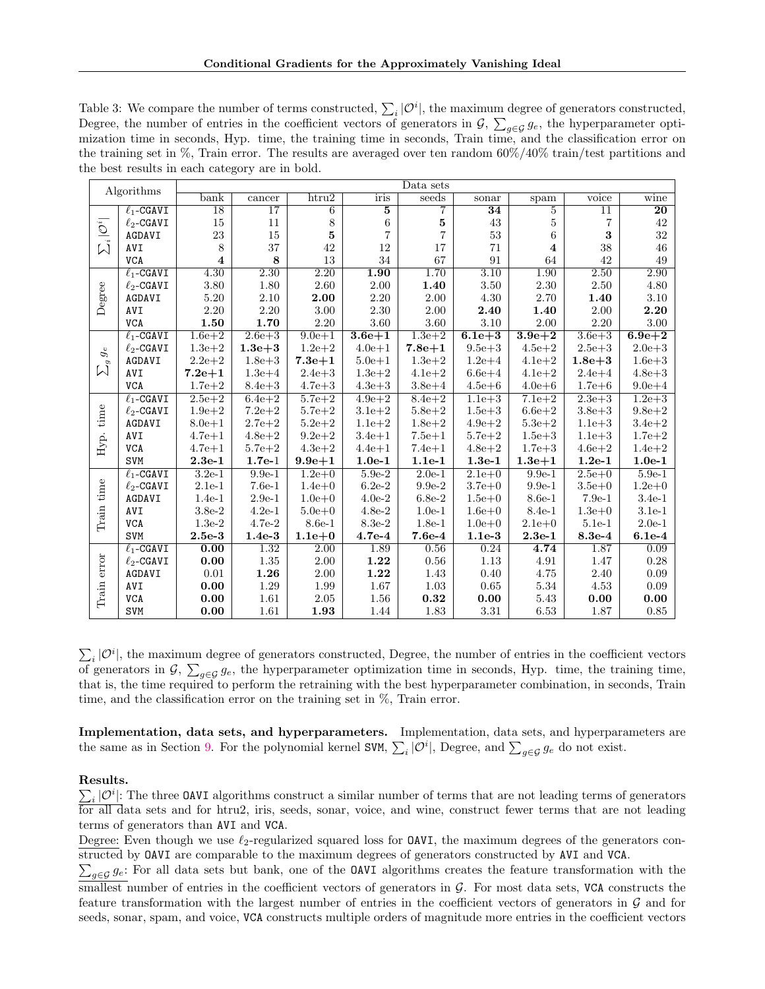Table 3: We compare the number of terms constructed,  $\sum_i |\mathcal{O}^i|$ , the maximum degree of generators constructed, Degree, the number of entries in the coefficient vectors of generators in  $\mathcal{G}, \sum_{g\in\mathcal{G}} g_e$ , the hyperparameter optimization time in seconds, Hyp. time, the training time in seconds, Train time, and the classification error on the training set in %, Train error. The results are averaged over ten random 60%/40% train/test partitions and the best results in each category are in bold.

| Algorithms                 |                                | Data sets               |                 |                   |                   |                            |                 |                         |                 |                 |
|----------------------------|--------------------------------|-------------------------|-----------------|-------------------|-------------------|----------------------------|-----------------|-------------------------|-----------------|-----------------|
|                            |                                | $_{\text{bank}}$        | cancer          | htru2             | iris              | seeds                      | sonar           | spam                    | voice           | wine            |
| $\sum_i  \mathcal{O}^i $   | $\ell_1$ -CGAVI                | $\overline{18}$         | $\overline{17}$ | $\overline{6}$    | $\overline{5}$    | 7                          | $\overline{34}$ | $\overline{5}$          | $\overline{11}$ | $\overline{20}$ |
|                            | $\ell_2$ -CGAVI                | 15                      | 11              | 8                 | 6                 | $\bf 5$                    | 43              | 5                       | $\overline{7}$  | 42              |
|                            | AGDAVI                         | 23                      | 15              | 5                 | $\overline{7}$    | $\overline{7}$             | 53              | $\sqrt{6}$              | 3               | $32\,$          |
|                            | AVI                            | 8                       | 37              | 42                | 12                | 17                         | 71              | $\overline{\mathbf{4}}$ | 38              | 46              |
|                            | <b>VCA</b>                     | $\overline{\mathbf{4}}$ | 8               | 13                | 34                | 67                         | 91              | 64                      | 42              | 49              |
| Degree                     | $\ell_1$ -CGAVI                | 4.30                    | 2.30            | $\overline{2.20}$ | $\overline{1.90}$ | 1.70                       | 3.10            | 1.90                    | 2.50            | 2.90            |
|                            | $\ell_2$ -CGAVI                | 3.80                    | 1.80            | 2.60              | 2.00              | 1.40                       | 3.50            | 2.30                    | 2.50            | 4.80            |
|                            | AGDAVI                         | 5.20                    | 2.10            | 2.00              | 2.20              | 2.00                       | 4.30            | 2.70                    | 1.40            | 3.10            |
|                            | AVI                            | 2.20                    | 2.20            | 3.00              | 2.30              | $2.00\,$                   | 2.40            | 1.40                    | 2.00            | 2.20            |
|                            | <b>VCA</b>                     | 1.50                    | 1.70            | 2.20              | 3.60              | 3.60                       | 3.10            | 2.00                    | 2.20            | 3.00            |
|                            | $\ell_1$ -CGAVI                | $1.6e + 2$              | $2.6e + 3$      | $9.0e + 1$        | $3.6e + 1$        | $1.3e + 2$                 | $6.1e + 3$      | $3.9e + 2$              | $3.6e + 3$      | $6.9e + 2$      |
| $g_{\rm e}$<br>g<br>$\sum$ | $\ell_2$ -CGAVI                | $1.3e + 2$              | $1.3e + 3$      | $1.2e + 2$        | $4.0e + 1$        | $7.8e + 1$                 | $9.5e + 3$      | $4.5e + 2$              | $2.5e + 3$      | $2.0e + 3$      |
|                            | AGDAVI                         | $2.2e + 2$              | $1.8e + 3$      | $7.3e + 1$        | $5.0e + 1$        | $1.3e + 2$                 | $1.2e + 4$      | $4.1e + 2$              | $1.8e + 3$      | $1.6e + 3$      |
|                            | AVI                            | $7.2e + 1$              | $1.3e + 4$      | $2.4e + 3$        | $1.3e + 2$        | $4.1e + 2$                 | $6.6e + 4$      | $4.1e + 2$              | $2.4e + 4$      | $4.8e + 3$      |
|                            | <b>VCA</b>                     | $1.7e + 2$              | $8.4e + 3$      | $4.7e + 3$        | $4.3e + 3$        | $3.8e + 4$                 | $4.5e + 6$      | $4.0e + 6$              | $1.7e + 6$      | $9.0e + 4$      |
|                            | $\ell_1$ -CGAVI                | $2.5e + 2$              | $6.4e + 2$      | $5.7e + 2$        | $4.9e + 2$        | $8.4e + 2$                 | $1.1e + 3$      | $7.1e + 2$              | $2.3e + 3$      | $1.2e + 3$      |
| time                       | $\ell_2\text{-}\mathtt{CGAVI}$ | $1.9e + 2$              | $7.2e + 2$      | $5.7e + 2$        | $3.1e + 2$        | $5.8e + 2$                 | $1.5e + 3$      | $6.6e + 2$              | $3.8e + 3$      | $9.8e + 2$      |
|                            | AGDAVI                         | $8.0e + 1$              | $2.7e + 2$      | $5.2e + 2$        | $1.1e + 2$        | $1.8e + 2$                 | $4.9e + 2$      | $5.3e + 2$              | $1.1e + 3$      | $3.4e + 2$      |
|                            | AVI                            | $4.7e + 1$              | $4.8e + 2$      | $9.2e + 2$        | $3.4e + 1$        | $7.5e + 1$                 | $5.7e + 2$      | $1.5e + 3$              | $1.1e + 3$      | $1.7e + 2$      |
| Hyp.                       | <b>VCA</b>                     | $4.7e + 1$              | $5.7e + 2$      | $4.3e + 2$        | $4.4e + 1$        | $7.4e + 1$                 | $4.8e + 2$      | $1.7e + 3$              | $4.6e + 2$      | $1.4e + 2$      |
|                            | <b>SVM</b>                     | $2.3e-1$                | $1.7e-1$        | $9.9e + 1$        | $1.0e-1$          | $1.1e-1$                   | $1.3e-1$        | $1.3e + 1$              | $1.2e-1$        | $1.0e-1$        |
|                            | $\ell_1$ -CGAVI                | $3.2e-1$                | $9.9e-1$        | $1.2e+0$          | $5.9e-2$          | $2.0e-1$                   | $2.1e+0$        | $9.9e-1$                | $2.5e+0$        | $5.9e-1$        |
|                            | $\ell_2$ -CGAVI                | $2.1e-1$                | $7.6e-1$        | $1.4e + 0$        | $6.2e-2$          | $9.9e-2$                   | $3.7e + 0$      | $9.9e-1$                | $3.5e + 0$      | $1.2e + 0$      |
|                            | AGDAVI                         | $1.4e-1$                | $2.9e-1$        | $1.0e + 0$        | $4.0e-2$          | $6.8\mathrm{e}{\text{-}2}$ | $1.5e+0$        | 8.6e-1                  | $7.9e-1$        | $3.4e-1$        |
| Train time                 | AVI                            | $3.8e-2$                | $4.2e-1$        | $5.0e + 0$        | $4.8e-2$          | $1.0e-1$                   | $1.6e + 0$      | $8.4e-1$                | $1.3e+0$        | $3.1e-1$        |
|                            | <b>VCA</b>                     | $1.3e-2$                | $4.7e-2$        | 8.6e-1            | 8.3e-2            | $1.8e-1$                   | $1.0e + 0$      | $2.1e+0$                | $5.1e-1$        | $2.0e-1$        |
|                            | <b>SVM</b>                     | $2.5e-3$                | $1.4e-3$        | $1.1e + 0$        | $4.7e-4$          | $7.6e-4$                   | $1.1e-3$        | $2.3e-1$                | $8.3e-4$        | $6.1e-4$        |
| error<br>Train             | $\ell_1$ -CGAVI                | 0.00                    | 1.32            | 2.00              | 1.89              | 0.56                       | 0.24            | 4.74                    | 1.87            | 0.09            |
|                            | $\ell_2$ -CGAVI                | 0.00                    | $1.35\,$        | 2.00              | 1.22              | 0.56                       | 1.13            | 4.91                    | 1.47            | 0.28            |
|                            | AGDAVI                         | $\rm 0.01$              | 1.26            | $2.00\,$          | 1.22              | 1.43                       | 0.40            | 4.75                    | 2.40            | 0.09            |
|                            | AVI                            | 0.00                    | 1.29            | 1.99              | 1.67              | 1.03                       | 0.65            | 5.34                    | 4.53            | 0.09            |
|                            | <b>VCA</b>                     | 0.00                    | 1.61            | 2.05              | 1.56              | $\bf 0.32$                 | 0.00            | 5.43                    | 0.00            | 0.00            |
|                            | <b>SVM</b>                     | 0.00                    | 1.61            | 1.93              | 1.44              | 1.83                       | 3.31            | 6.53                    | 1.87            | 0.85            |

 $\sum_i |{\cal O}^i|$ , the maximum degree of generators constructed, Degree, the number of entries in the coefficient vectors of generators in  $\mathcal{G}, \sum_{g \in \mathcal{G}} g_e$ , the hyperparameter optimization time in seconds, Hyp. time, the training time, that is, the time required to perform the retraining with the best hyperparameter combination, in seconds, Train time, and the classification error on the training set in %, Train error.

Implementation, data sets, and hyperparameters. Implementation, data sets, and hyperparameters are the same as in Section [9.](#page-6-1) For the polynomial kernel SVM,  $\sum_i |\mathcal{O}^i|$ , Degree, and  $\sum_{g \in \mathcal{G}} g_e$  do not exist.

### Results.

 $\sum_i |O^i|$ : The three OAVI algorithms construct a similar number of terms that are not leading terms of generators for all data sets and for htru2, iris, seeds, sonar, voice, and wine, construct fewer terms that are not leading terms of generators than AVI and VCA.

Degree: Even though we use  $\ell_2$ -regularized squared loss for **OAVI**, the maximum degrees of the generators constructed by OAVI are comparable to the maximum degrees of generators constructed by AVI and VCA.

 $\sum_{g\in\mathcal{G}}g_e$ : For all data sets but bank, one of the **OAVI** algorithms creates the feature transformation with the smallest number of entries in the coefficient vectors of generators in  $\mathcal G$ . For most data sets, VCA constructs the feature transformation with the largest number of entries in the coefficient vectors of generators in  $\mathcal G$  and for seeds, sonar, spam, and voice, VCA constructs multiple orders of magnitude more entries in the coefficient vectors